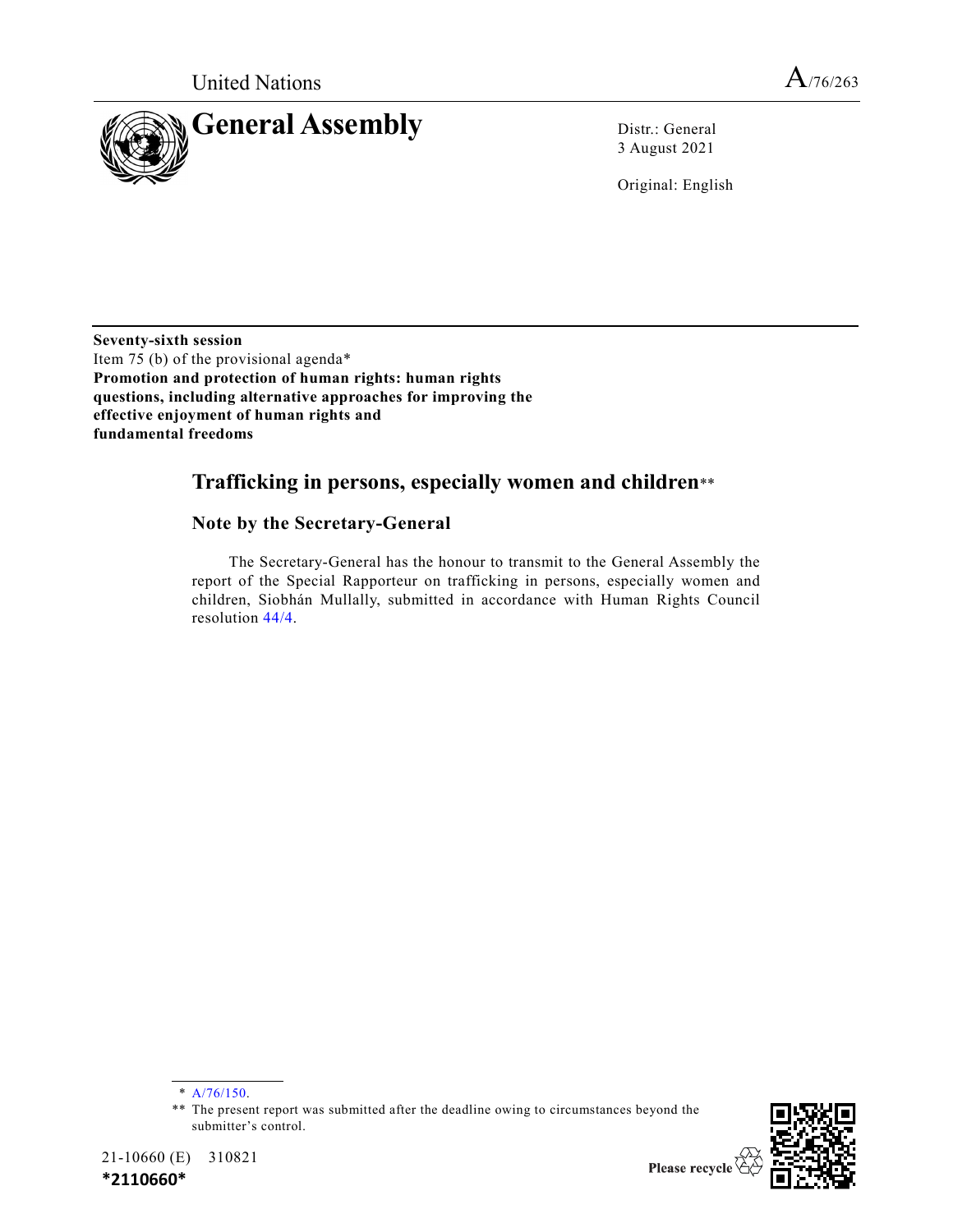

3 August 2021

Original: English

**Seventy-sixth session** Item 75 (b) of the provisional agenda\* **Promotion and protection of human rights: human rights questions, including alternative approaches for improving the effective enjoyment of human rights and fundamental freedoms**

# **Trafficking in persons, especially women and children**\*\*

#### **Note by the Secretary-General**

The Secretary-General has the honour to transmit to the General Assembly the report of the Special Rapporteur on trafficking in persons, especially women and children, Siobhán Mullally, submitted in accordance with Human Rights Council resolution [44/4.](https://undocs.org/en/A/HRC/RES/44/4)

<sup>\*\*</sup> The present report was submitted after the deadline owing to circumstances beyond the submitter's control.



21-10660 (E) 310821

**\*2110660\***

<sup>\*</sup> [A/76/150.](https://undocs.org/en/A/76/150)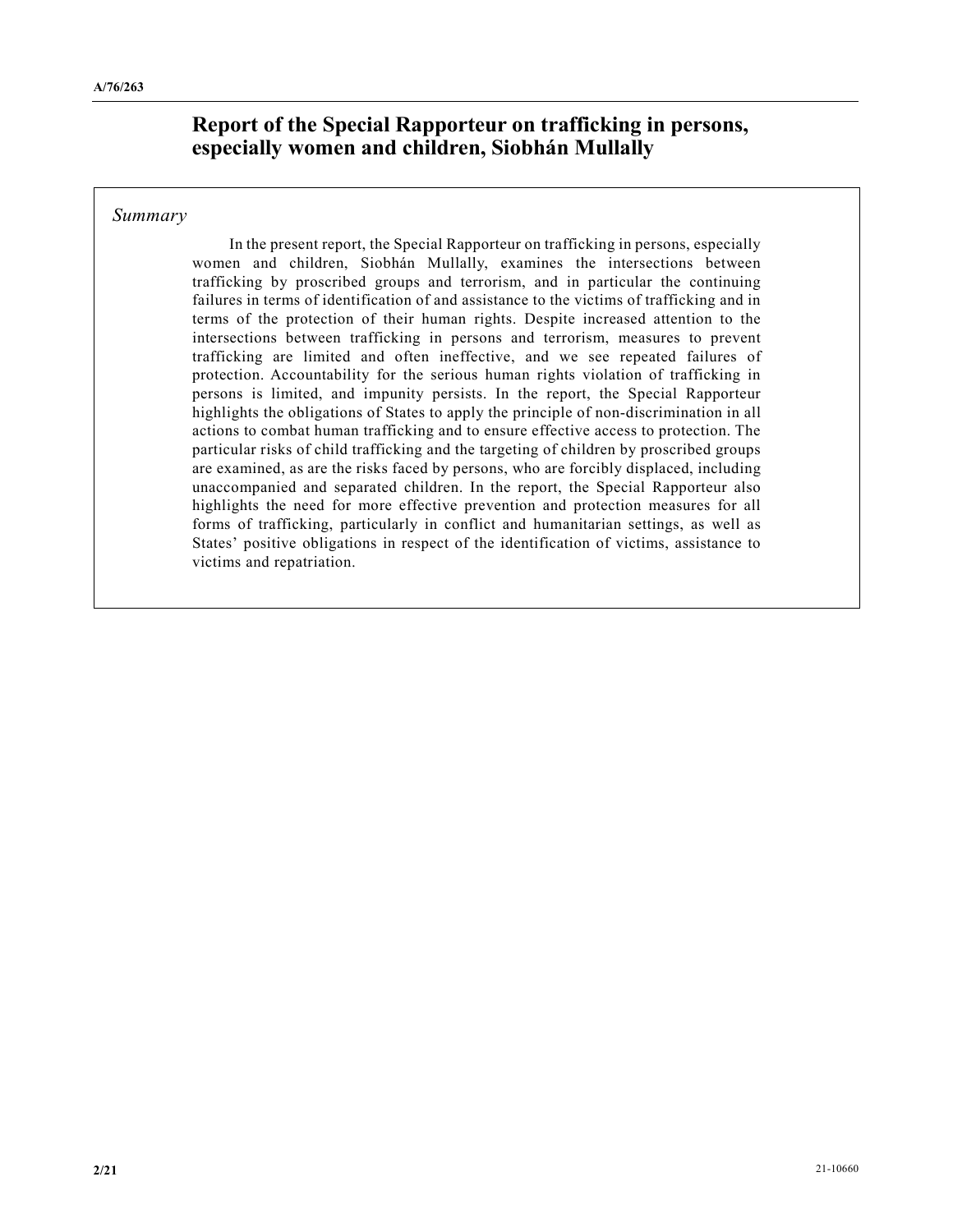## **Report of the Special Rapporteur on trafficking in persons, especially women and children, Siobhán Mullally**

#### *Summary*

In the present report, the Special Rapporteur on trafficking in persons, especially women and children, Siobhán Mullally, examines the intersections between trafficking by proscribed groups and terrorism, and in particular the continuing failures in terms of identification of and assistance to the victims of trafficking and in terms of the protection of their human rights. Despite increased attention to the intersections between trafficking in persons and terrorism, measures to prevent trafficking are limited and often ineffective, and we see repeated failures of protection. Accountability for the serious human rights violation of trafficking in persons is limited, and impunity persists. In the report, the Special Rapporteur highlights the obligations of States to apply the principle of non-discrimination in all actions to combat human trafficking and to ensure effective access to protection. The particular risks of child trafficking and the targeting of children by proscribed groups are examined, as are the risks faced by persons, who are forcibly displaced, including unaccompanied and separated children. In the report, the Special Rapporteur also highlights the need for more effective prevention and protection measures for all forms of trafficking, particularly in conflict and humanitarian settings, as well as States' positive obligations in respect of the identification of victims, assistance to victims and repatriation.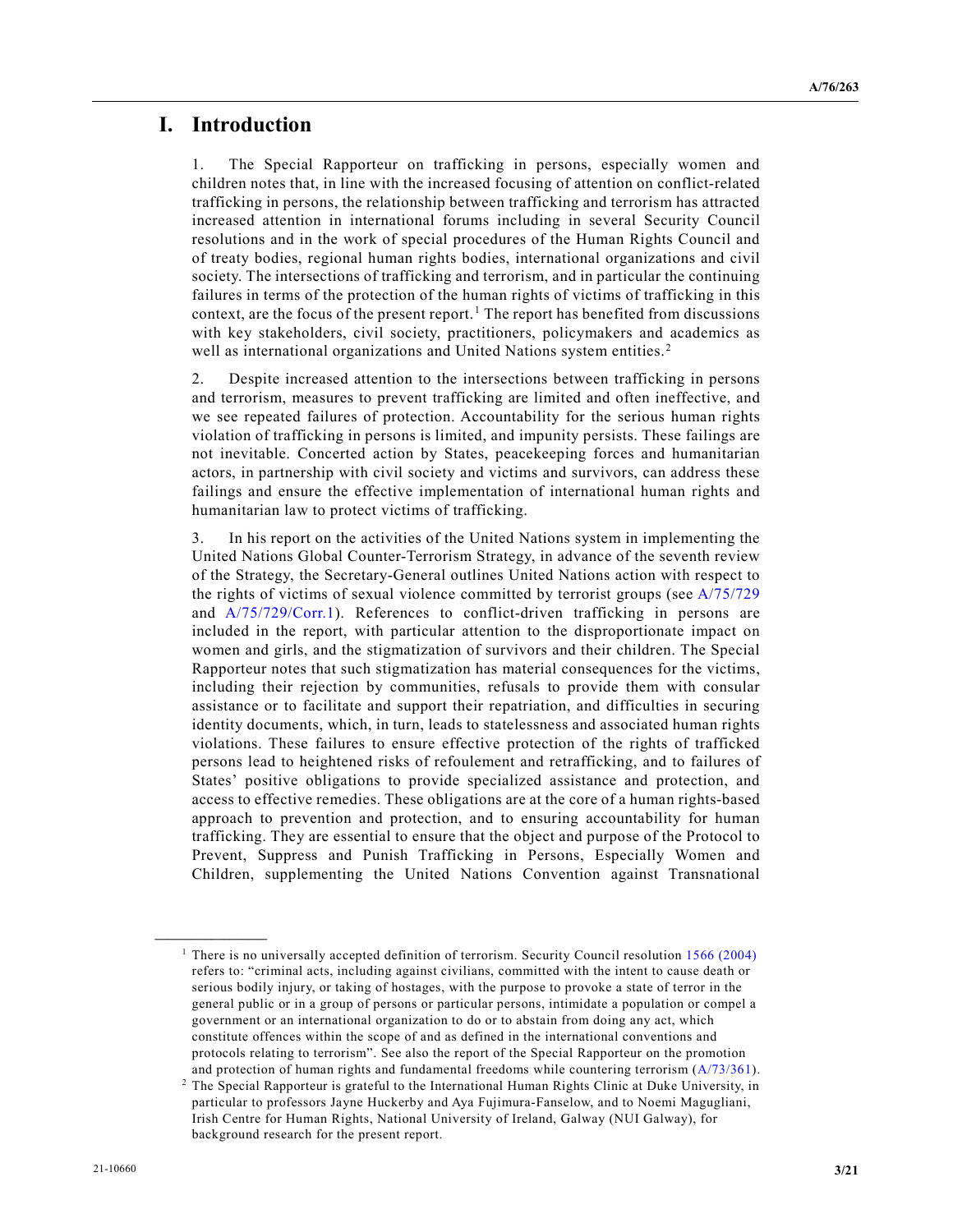#### **I. Introduction**

1. The Special Rapporteur on trafficking in persons, especially women and children notes that, in line with the increased focusing of attention on conflict-related trafficking in persons, the relationship between trafficking and terrorism has attracted increased attention in international forums including in several Security Council resolutions and in the work of special procedures of the Human Rights Council and of treaty bodies, regional human rights bodies, international organizations and civil society. The intersections of trafficking and terrorism, and in particular the continuing failures in terms of the protection of the human rights of victims of trafficking in this context, are the focus of the present report.<sup>[1](#page-2-0)</sup> The report has benefited from discussions with key stakeholders, civil society, practitioners, policymakers and academics as well as international organizations and United Nations system entities.<sup>[2](#page-2-1)</sup>

2. Despite increased attention to the intersections between trafficking in persons and terrorism, measures to prevent trafficking are limited and often ineffective, and we see repeated failures of protection. Accountability for the serious human rights violation of trafficking in persons is limited, and impunity persists. These failings are not inevitable. Concerted action by States, peacekeeping forces and humanitarian actors, in partnership with civil society and victims and survivors, can address these failings and ensure the effective implementation of international human rights and humanitarian law to protect victims of trafficking.

3. In his report on the activities of the United Nations system in implementing the United Nations Global Counter-Terrorism Strategy, in advance of the seventh review of the Strategy, the Secretary-General outlines United Nations action with respect to the rights of victims of sexual violence committed by terrorist groups (see [A/75/729](https://undocs.org/en/A/75/729) and  $A/75/729/Corr.1$ ). References to conflict-driven trafficking in persons are included in the report, with particular attention to the disproportionate impact on women and girls, and the stigmatization of survivors and their children. The Special Rapporteur notes that such stigmatization has material consequences for the victims, including their rejection by communities, refusals to provide them with consular assistance or to facilitate and support their repatriation, and difficulties in securing identity documents, which, in turn, leads to statelessness and associated human rights violations. These failures to ensure effective protection of the rights of trafficked persons lead to heightened risks of refoulement and retrafficking, and to failures of States' positive obligations to provide specialized assistance and protection, and access to effective remedies. These obligations are at the core of a human rights-based approach to prevention and protection, and to ensuring accountability for human trafficking. They are essential to ensure that the object and purpose of the Protocol to Prevent, Suppress and Punish Trafficking in Persons, Especially Women and Children, supplementing the United Nations Convention against Transnational

<span id="page-2-0"></span><sup>&</sup>lt;sup>1</sup> There is no universally accepted definition of terrorism. Security Council resolution [1566 \(2004\)](https://undocs.org/en/S/RES/1566(2004)) refers to: "criminal acts, including against civilians, committed with the intent to cause death or serious bodily injury, or taking of hostages, with the purpose to provoke a state of terror in the general public or in a group of persons or particular persons, intimidate a population or compel a government or an international organization to do or to abstain from doing any act, which constitute offences within the scope of and as defined in the international conventions and protocols relating to terrorism". See also the report of the Special Rapporteur on the promotion and protection of human rights and fundamental freedoms while countering terrorism [\(A/73/361\)](https://undocs.org/en/A/73/361).

<span id="page-2-1"></span><sup>&</sup>lt;sup>2</sup> The Special Rapporteur is grateful to the International Human Rights Clinic at Duke University, in particular to professors Jayne Huckerby and Aya Fujimura-Fanselow, and to Noemi Magugliani, Irish Centre for Human Rights, National University of Ireland, Galway (NUI Galway), for background research for the present report.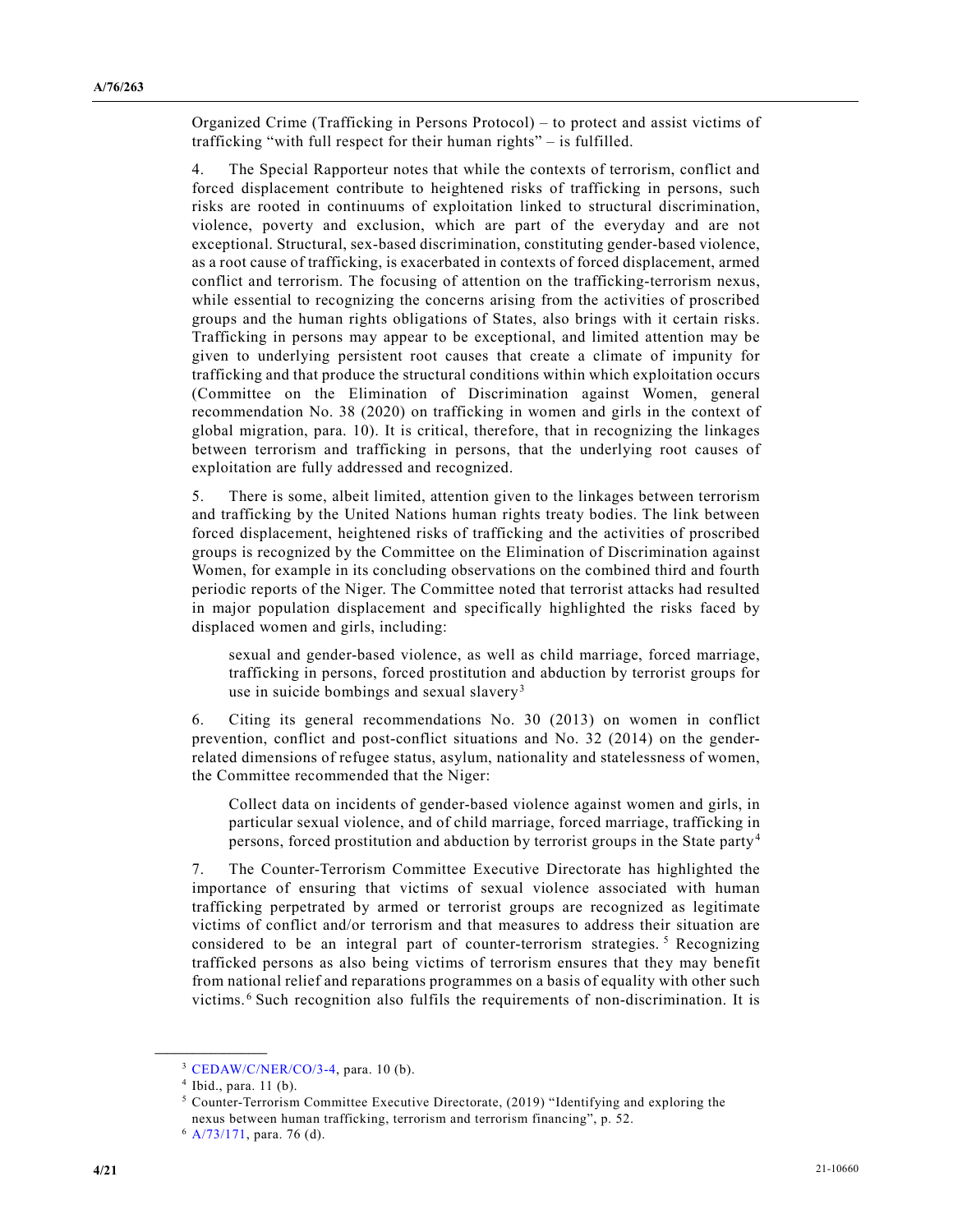Organized Crime (Trafficking in Persons Protocol) – to protect and assist victims of trafficking "with full respect for their human rights" – is fulfilled.

4. The Special Rapporteur notes that while the contexts of terrorism, conflict and forced displacement contribute to heightened risks of trafficking in persons, such risks are rooted in continuums of exploitation linked to structural discrimination, violence, poverty and exclusion, which are part of the everyday and are not exceptional. Structural, sex-based discrimination, constituting gender-based violence, as a root cause of trafficking, is exacerbated in contexts of forced displacement, armed conflict and terrorism. The focusing of attention on the trafficking-terrorism nexus, while essential to recognizing the concerns arising from the activities of proscribed groups and the human rights obligations of States, also brings with it certain risks. Trafficking in persons may appear to be exceptional, and limited attention may be given to underlying persistent root causes that create a climate of impunity for trafficking and that produce the structural conditions within which exploitation occurs (Committee on the Elimination of Discrimination against Women, general recommendation No. 38 (2020) on trafficking in women and girls in the context of global migration, para. 10). It is critical, therefore, that in recognizing the linkages between terrorism and trafficking in persons, that the underlying root causes of exploitation are fully addressed and recognized.

5. There is some, albeit limited, attention given to the linkages between terrorism and trafficking by the United Nations human rights treaty bodies. The link between forced displacement, heightened risks of trafficking and the activities of proscribed groups is recognized by the Committee on the Elimination of Discrimination against Women, for example in its concluding observations on the combined third and fourth periodic reports of the Niger. The Committee noted that terrorist attacks had resulted in major population displacement and specifically highlighted the risks faced by displaced women and girls, including:

sexual and gender-based violence, as well as child marriage, forced marriage, trafficking in persons, forced prostitution and abduction by terrorist groups for use in suicide bombings and sexual slavery<sup>[3](#page-3-0)</sup>

6. Citing its general recommendations No. 30 (2013) on women in conflict prevention, conflict and post-conflict situations and No. 32 (2014) on the genderrelated dimensions of refugee status, asylum, nationality and statelessness of women, the Committee recommended that the Niger:

Collect data on incidents of gender-based violence against women and girls, in particular sexual violence, and of child marriage, forced marriage, trafficking in persons, forced prostitution and abduction by terrorist groups in the State party<sup>[4](#page-3-1)</sup>

7. The Counter-Terrorism Committee Executive Directorate has highlighted the importance of ensuring that victims of sexual violence associated with human trafficking perpetrated by armed or terrorist groups are recognized as legitimate victims of conflict and/or terrorism and that measures to address their situation are considered to be an integral part of counter-terrorism strategies.<sup>[5](#page-3-2)</sup> Recognizing trafficked persons as also being victims of terrorism ensures that they may benefit from national relief and reparations programmes on a basis of equality with other such victims. [6](#page-3-3) Such recognition also fulfils the requirements of non-discrimination. It is

<span id="page-3-1"></span><span id="page-3-0"></span><sup>3</sup> [CEDAW/C/NER/CO/3-4,](https://undocs.org/en/CEDAW/C/NER/CO/3-4) para. 10 (b).

 $4$  Ibid., para. 11 (b).

<span id="page-3-2"></span> $5$  Counter-Terrorism Committee Executive Directorate, (2019) "Identifying and exploring the nexus between human trafficking, terrorism and terrorism financing", p. 52.

<span id="page-3-3"></span> $6$  [A/73/171,](https://undocs.org/en/A/73/171) para. 76 (d).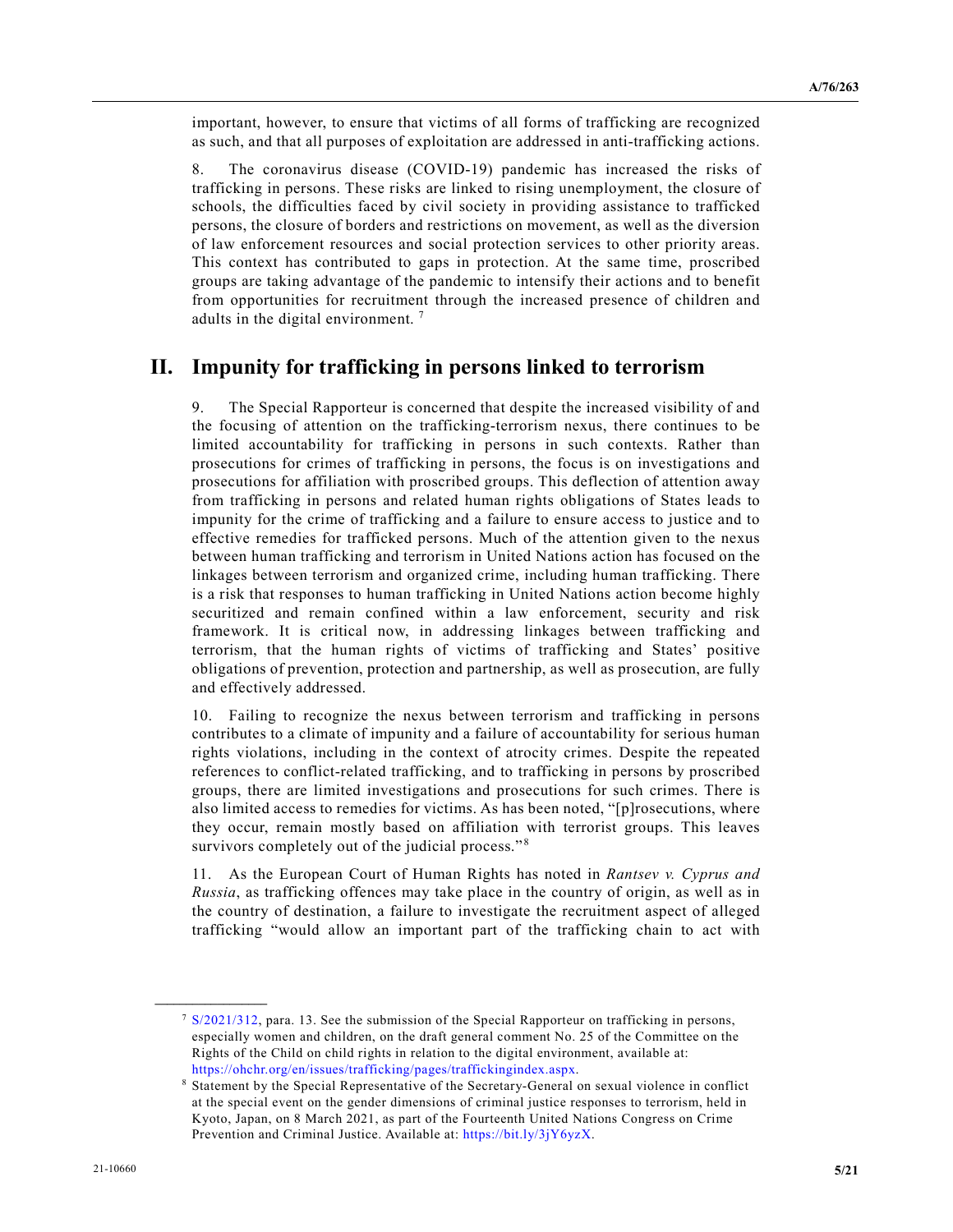important, however, to ensure that victims of all forms of trafficking are recognized as such, and that all purposes of exploitation are addressed in anti-trafficking actions.

8. The coronavirus disease (COVID-19) pandemic has increased the risks of trafficking in persons. These risks are linked to rising unemployment, the closure of schools, the difficulties faced by civil society in providing assistance to trafficked persons, the closure of borders and restrictions on movement, as well as the diversion of law enforcement resources and social protection services to other priority areas. This context has contributed to gaps in protection. At the same time, proscribed groups are taking advantage of the pandemic to intensify their actions and to benefit from opportunities for recruitment through the increased presence of children and adults in the digital environment. [7](#page-4-0)

#### **II. Impunity for trafficking in persons linked to terrorism**

9. The Special Rapporteur is concerned that despite the increased visibility of and the focusing of attention on the trafficking-terrorism nexus, there continues to be limited accountability for trafficking in persons in such contexts. Rather than prosecutions for crimes of trafficking in persons, the focus is on investigations and prosecutions for affiliation with proscribed groups. This deflection of attention away from trafficking in persons and related human rights obligations of States leads to impunity for the crime of trafficking and a failure to ensure access to justice and to effective remedies for trafficked persons. Much of the attention given to the nexus between human trafficking and terrorism in United Nations action has focused on the linkages between terrorism and organized crime, including human trafficking. There is a risk that responses to human trafficking in United Nations action become highly securitized and remain confined within a law enforcement, security and risk framework. It is critical now, in addressing linkages between trafficking and terrorism, that the human rights of victims of trafficking and States' positive obligations of prevention, protection and partnership, as well as prosecution, are fully and effectively addressed.

10. Failing to recognize the nexus between terrorism and trafficking in persons contributes to a climate of impunity and a failure of accountability for serious human rights violations, including in the context of atrocity crimes. Despite the repeated references to conflict-related trafficking, and to trafficking in persons by proscribed groups, there are limited investigations and prosecutions for such crimes. There is also limited access to remedies for victims. As has been noted, "[p]rosecutions, where they occur, remain mostly based on affiliation with terrorist groups. This leaves survivors completely out of the judicial process."<sup>[8](#page-4-1)</sup>

11. As the European Court of Human Rights has noted in *Rantsev v. Cyprus and Russia*, as trafficking offences may take place in the country of origin, as well as in the country of destination, a failure to investigate the recruitment aspect of alleged trafficking "would allow an important part of the trafficking chain to act with

<span id="page-4-0"></span><sup>7</sup> [S/2021/312,](https://undocs.org/en/S/2021/312) para. 13. See the submission of the Special Rapporteur on trafficking in persons, especially women and children, on the draft general comment No. 25 of the Committee on the Rights of the Child on child rights in relation to the digital environment, available at: [https://ohchr.org/en/issues/trafficking/pages/traffickingindex.aspx.](https://ohchr.org/en/issues/trafficking/pages/traffickingindex.aspx)

<span id="page-4-1"></span><sup>8</sup> Statement by the Special Representative of the Secretary-General on sexual violence in conflict at the special event on the gender dimensions of criminal justice responses to terrorism, held in Kyoto, Japan, on 8 March 2021, as part of the Fourteenth United Nations Congress on Crime Prevention and Criminal Justice. Available at: [https://bit.ly/3jY6yzX.](https://bit.ly/3jY6yzX)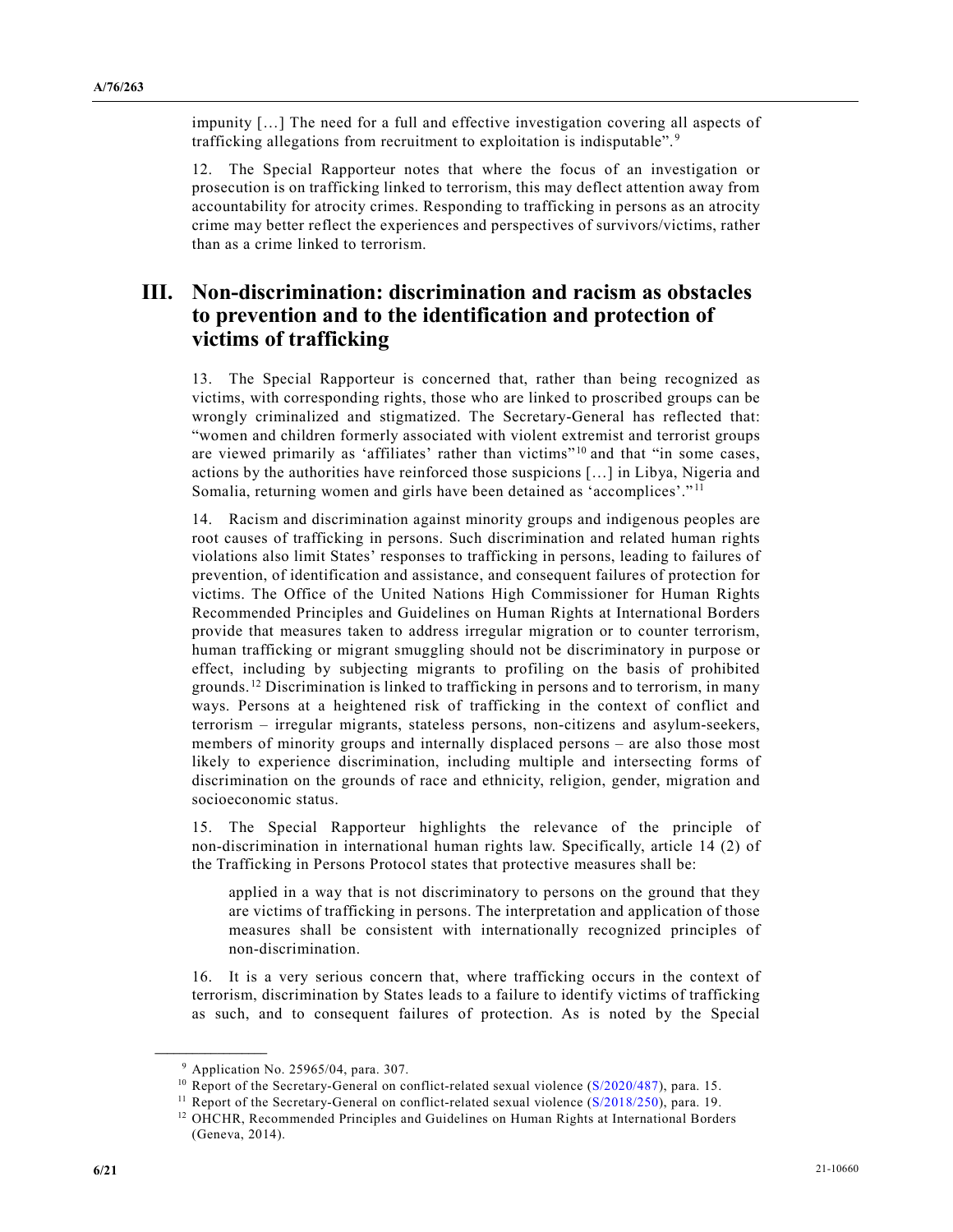impunity […] The need for a full and effective investigation covering all aspects of trafficking allegations from recruitment to exploitation is indisputable". [9](#page-5-0)

12. The Special Rapporteur notes that where the focus of an investigation or prosecution is on trafficking linked to terrorism, this may deflect attention away from accountability for atrocity crimes. Responding to trafficking in persons as an atrocity crime may better reflect the experiences and perspectives of survivors/victims, rather than as a crime linked to terrorism.

# **III. Non-discrimination: discrimination and racism as obstacles to prevention and to the identification and protection of victims of trafficking**

13. The Special Rapporteur is concerned that, rather than being recognized as victims, with corresponding rights, those who are linked to proscribed groups can be wrongly criminalized and stigmatized. The Secretary-General has reflected that: "women and children formerly associated with violent extremist and terrorist groups are viewed primarily as 'affiliates' rather than victims"<sup>[10](#page-5-1)</sup> and that "in some cases, actions by the authorities have reinforced those suspicions […] in Libya, Nigeria and Somalia, returning women and girls have been detained as 'accomplices'." [11](#page-5-2)

14. Racism and discrimination against minority groups and indigenous peoples are root causes of trafficking in persons. Such discrimination and related human rights violations also limit States' responses to trafficking in persons, leading to failures of prevention, of identification and assistance, and consequent failures of protection for victims. The Office of the United Nations High Commissioner for Human Rights Recommended Principles and Guidelines on Human Rights at International Borders provide that measures taken to address irregular migration or to counter terrorism, human trafficking or migrant smuggling should not be discriminatory in purpose or effect, including by subjecting migrants to profiling on the basis of prohibited grounds. [12](#page-5-3) Discrimination is linked to trafficking in persons and to terrorism, in many ways. Persons at a heightened risk of trafficking in the context of conflict and terrorism – irregular migrants, stateless persons, non-citizens and asylum-seekers, members of minority groups and internally displaced persons – are also those most likely to experience discrimination, including multiple and intersecting forms of discrimination on the grounds of race and ethnicity, religion, gender, migration and socioeconomic status.

15. The Special Rapporteur highlights the relevance of the principle of non-discrimination in international human rights law. Specifically, article 14 (2) of the Trafficking in Persons Protocol states that protective measures shall be:

applied in a way that is not discriminatory to persons on the ground that they are victims of trafficking in persons. The interpretation and application of those measures shall be consistent with internationally recognized principles of non-discrimination.

16. It is a very serious concern that, where trafficking occurs in the context of terrorism, discrimination by States leads to a failure to identify victims of trafficking as such, and to consequent failures of protection. As is noted by the Special

<span id="page-5-0"></span><sup>9</sup> Application No. 25965/04, para. 307.

<span id="page-5-1"></span><sup>&</sup>lt;sup>10</sup> Report of the Secretary-General on conflict-related sexual violence ( $S/2020/487$ ), para. 15.

<span id="page-5-2"></span><sup>&</sup>lt;sup>11</sup> Report of the Secretary-General on conflict-related sexual violence  $(S/2018/250)$ , para. 19.

<span id="page-5-3"></span><sup>&</sup>lt;sup>12</sup> OHCHR, Recommended Principles and Guidelines on Human Rights at International Borders (Geneva, 2014).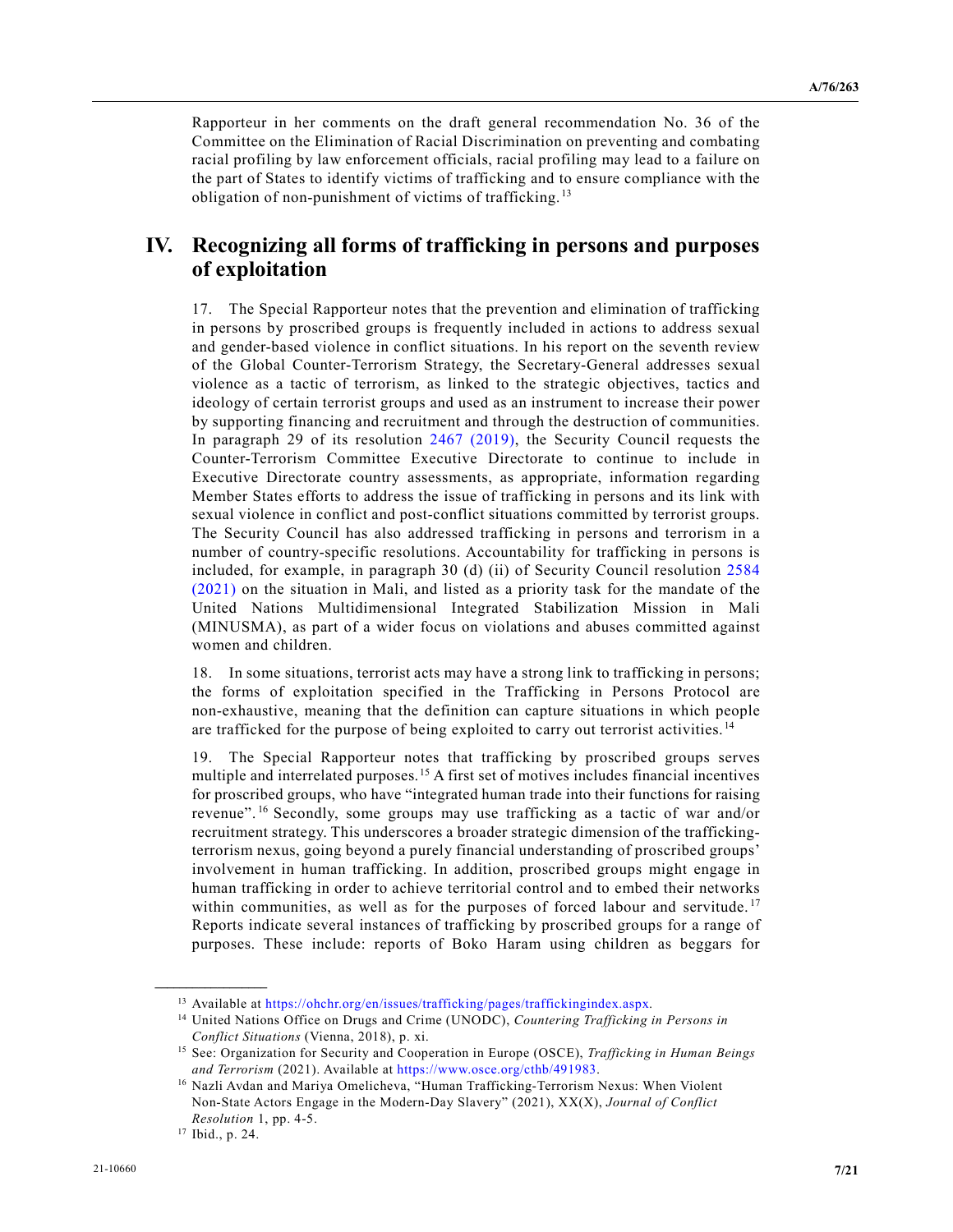Rapporteur in her comments on the draft general recommendation No. 36 of the Committee on the Elimination of Racial Discrimination on preventing and combating racial profiling by law enforcement officials, racial profiling may lead to a failure on the part of States to identify victims of trafficking and to ensure compliance with the obligation of non-punishment of victims of trafficking. [13](#page-6-0)

#### **IV. Recognizing all forms of trafficking in persons and purposes of exploitation**

17. The Special Rapporteur notes that the prevention and elimination of trafficking in persons by proscribed groups is frequently included in actions to address sexual and gender-based violence in conflict situations. In his report on the seventh review of the Global Counter-Terrorism Strategy, the Secretary-General addresses sexual violence as a tactic of terrorism, as linked to the strategic objectives, tactics and ideology of certain terrorist groups and used as an instrument to increase their power by supporting financing and recruitment and through the destruction of communities. In paragraph 29 of its resolution [2467 \(2019\),](https://undocs.org/en/S/RES/2467(2019)) the Security Council requests the Counter-Terrorism Committee Executive Directorate to continue to include in Executive Directorate country assessments, as appropriate, information regarding Member States efforts to address the issue of trafficking in persons and its link with sexual violence in conflict and post-conflict situations committed by terrorist groups. The Security Council has also addressed trafficking in persons and terrorism in a number of country-specific resolutions. Accountability for trafficking in persons is included, for example, in paragraph 30 (d) (ii) of Security Council resolution [2584](https://undocs.org/en/S/RES/2584(2021))  [\(2021\)](https://undocs.org/en/S/RES/2584(2021)) on the situation in Mali, and listed as a priority task for the mandate of the United Nations Multidimensional Integrated Stabilization Mission in Mali (MINUSMA), as part of a wider focus on violations and abuses committed against women and children.

18. In some situations, terrorist acts may have a strong link to trafficking in persons; the forms of exploitation specified in the Trafficking in Persons Protocol are non-exhaustive, meaning that the definition can capture situations in which people are trafficked for the purpose of being exploited to carry out terrorist activities. [14](#page-6-1)

19. The Special Rapporteur notes that trafficking by proscribed groups serves multiple and interrelated purposes.[15](#page-6-2) A first set of motives includes financial incentives for proscribed groups, who have "integrated human trade into their functions for raising revenue". [16](#page-6-3) Secondly, some groups may use trafficking as a tactic of war and/or recruitment strategy. This underscores a broader strategic dimension of the traffickingterrorism nexus, going beyond a purely financial understanding of proscribed groups' involvement in human trafficking. In addition, proscribed groups might engage in human trafficking in order to achieve territorial control and to embed their networks within communities, as well as for the purposes of forced labour and servitude.<sup>[17](#page-6-4)</sup> Reports indicate several instances of trafficking by proscribed groups for a range of purposes. These include: reports of Boko Haram using children as beggars for

<span id="page-6-0"></span><sup>13</sup> Available at [https://ohchr.org/en/issues/trafficking/pages/traffickingindex.aspx.](https://ohchr.org/en/issues/trafficking/pages/traffickingindex.aspx)

<span id="page-6-1"></span><sup>14</sup> United Nations Office on Drugs and Crime (UNODC), *Countering Trafficking in Persons in Conflict Situations* (Vienna, 2018), p. xi.

<span id="page-6-2"></span><sup>15</sup> See: Organization for Security and Cooperation in Europe (OSCE), *Trafficking in Human Beings and Terrorism* (2021). Available at [https://www.osce.org/cthb/491983.](https://www.osce.org/cthb/491983)

<span id="page-6-3"></span><sup>16</sup> Nazli Avdan and Mariya Omelicheva, "Human Trafficking-Terrorism Nexus: When Violent Non-State Actors Engage in the Modern-Day Slavery" (2021), XX(X), *Journal of Conflict Resolution* 1, pp. 4-5.

<span id="page-6-4"></span><sup>17</sup> Ibid., p. 24.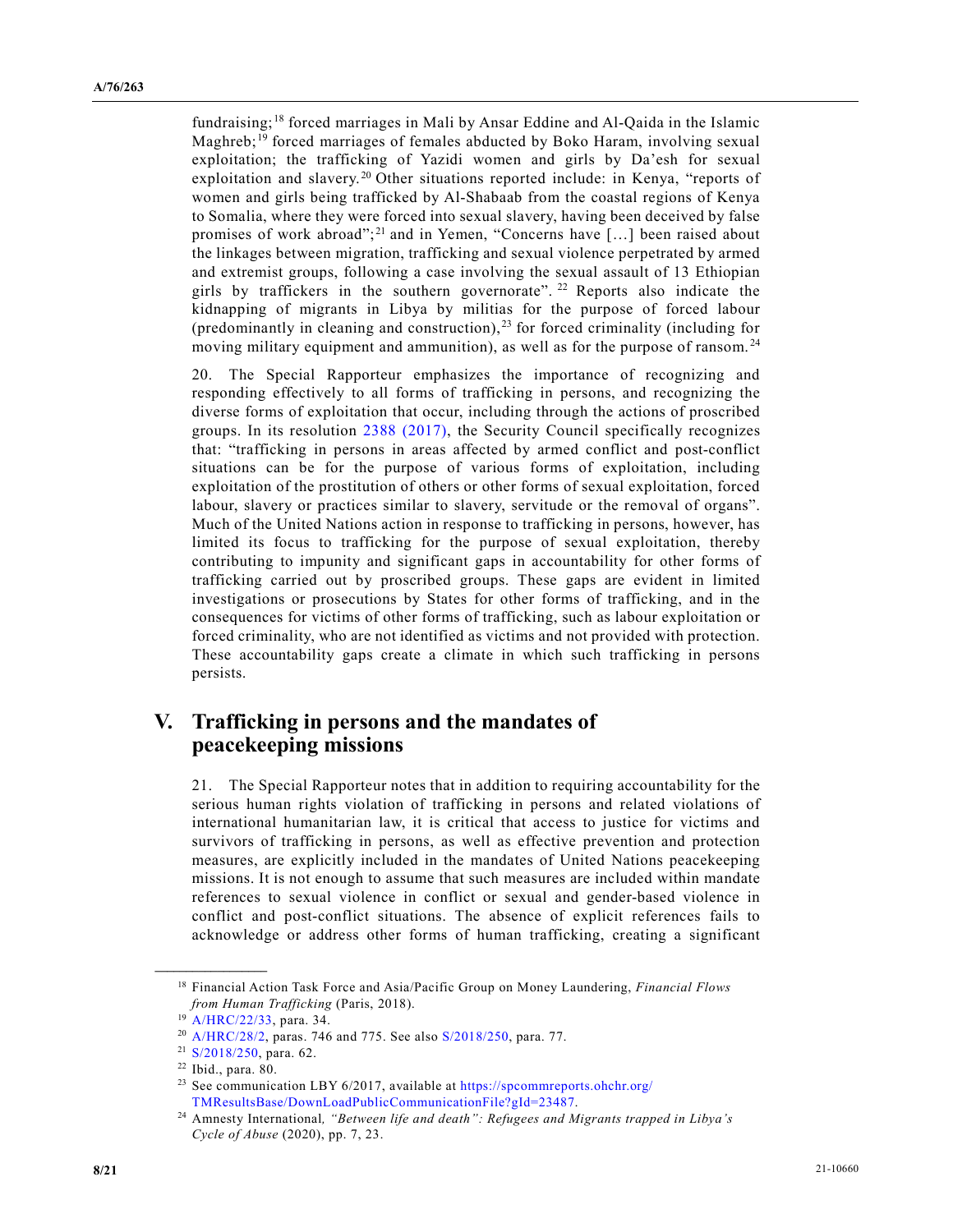fundraising; [18](#page-7-0) forced marriages in Mali by Ansar Eddine and Al-Qaida in the Islamic Maghreb; [19](#page-7-1) forced marriages of females abducted by Boko Haram, involving sexual exploitation; the trafficking of Yazidi women and girls by Da'esh for sexual exploitation and slavery.<sup>[20](#page-7-2)</sup> Other situations reported include: in Kenya, "reports of women and girls being trafficked by Al-Shabaab from the coastal regions of Kenya to Somalia, where they were forced into sexual slavery, having been deceived by false promises of work abroad";<sup>[21](#page-7-3)</sup> and in Yemen, "Concerns have [...] been raised about the linkages between migration, trafficking and sexual violence perpetrated by armed and extremist groups, following a case involving the sexual assault of 13 Ethiopian girls by traffickers in the southern governorate". [22](#page-7-4) Reports also indicate the kidnapping of migrants in Libya by militias for the purpose of forced labour (predominantly in cleaning and construction),  $^{23}$  $^{23}$  $^{23}$  for forced criminality (including for moving military equipment and ammunition), as well as for the purpose of ransom.<sup>[24](#page-7-6)</sup>

20. The Special Rapporteur emphasizes the importance of recognizing and responding effectively to all forms of trafficking in persons, and recognizing the diverse forms of exploitation that occur, including through the actions of proscribed groups. In its resolution [2388 \(2017\),](https://undocs.org/en/S/RES/2388(2017)) the Security Council specifically recognizes that: "trafficking in persons in areas affected by armed conflict and post-conflict situations can be for the purpose of various forms of exploitation, including exploitation of the prostitution of others or other forms of sexual exploitation, forced labour, slavery or practices similar to slavery, servitude or the removal of organs". Much of the United Nations action in response to trafficking in persons, however, has limited its focus to trafficking for the purpose of sexual exploitation, thereby contributing to impunity and significant gaps in accountability for other forms of trafficking carried out by proscribed groups. These gaps are evident in limited investigations or prosecutions by States for other forms of trafficking, and in the consequences for victims of other forms of trafficking, such as labour exploitation or forced criminality, who are not identified as victims and not provided with protection. These accountability gaps create a climate in which such trafficking in persons persists.

## **V. Trafficking in persons and the mandates of peacekeeping missions**

21. The Special Rapporteur notes that in addition to requiring accountability for the serious human rights violation of trafficking in persons and related violations of international humanitarian law, it is critical that access to justice for victims and survivors of trafficking in persons, as well as effective prevention and protection measures, are explicitly included in the mandates of United Nations peacekeeping missions. It is not enough to assume that such measures are included within mandate references to sexual violence in conflict or sexual and gender-based violence in conflict and post-conflict situations. The absence of explicit references fails to acknowledge or address other forms of human trafficking, creating a significant

<span id="page-7-0"></span><sup>18</sup> Financial Action Task Force and Asia/Pacific Group on Money Laundering, *Financial Flows from Human Trafficking* (Paris, 2018).

<sup>&</sup>lt;sup>19</sup> [A/HRC/22/33,](https://undocs.org/en/A/HRC/22/33) para. 34.

<span id="page-7-2"></span><span id="page-7-1"></span><sup>20</sup> [A/HRC/28/2,](https://undocs.org/en/A/HRC/28/2) paras. 746 and 775. See also [S/2018/250,](https://undocs.org/en/S/2018/250) para. 77.

<span id="page-7-3"></span><sup>21</sup> [S/2018/250,](https://undocs.org/en/S/2018/250) para. 62.

<span id="page-7-4"></span><sup>22</sup> Ibid., para. 80.

<span id="page-7-5"></span><sup>&</sup>lt;sup>23</sup> See communication LBY 6/2017, available at [https://spcommreports.ohchr.org/](https://spcommreports.ohchr.org/TMResultsBase/DownLoadPublicCommunicationFile?gId=23487) [TMResultsBase/DownLoadPublicCommunicationFile?gId=23487.](https://spcommreports.ohchr.org/TMResultsBase/DownLoadPublicCommunicationFile?gId=23487)

<span id="page-7-6"></span><sup>24</sup> Amnesty International*, "Between life and death": Refugees and Migrants trapped in Libya's Cycle of Abuse* (2020), pp. 7, 23.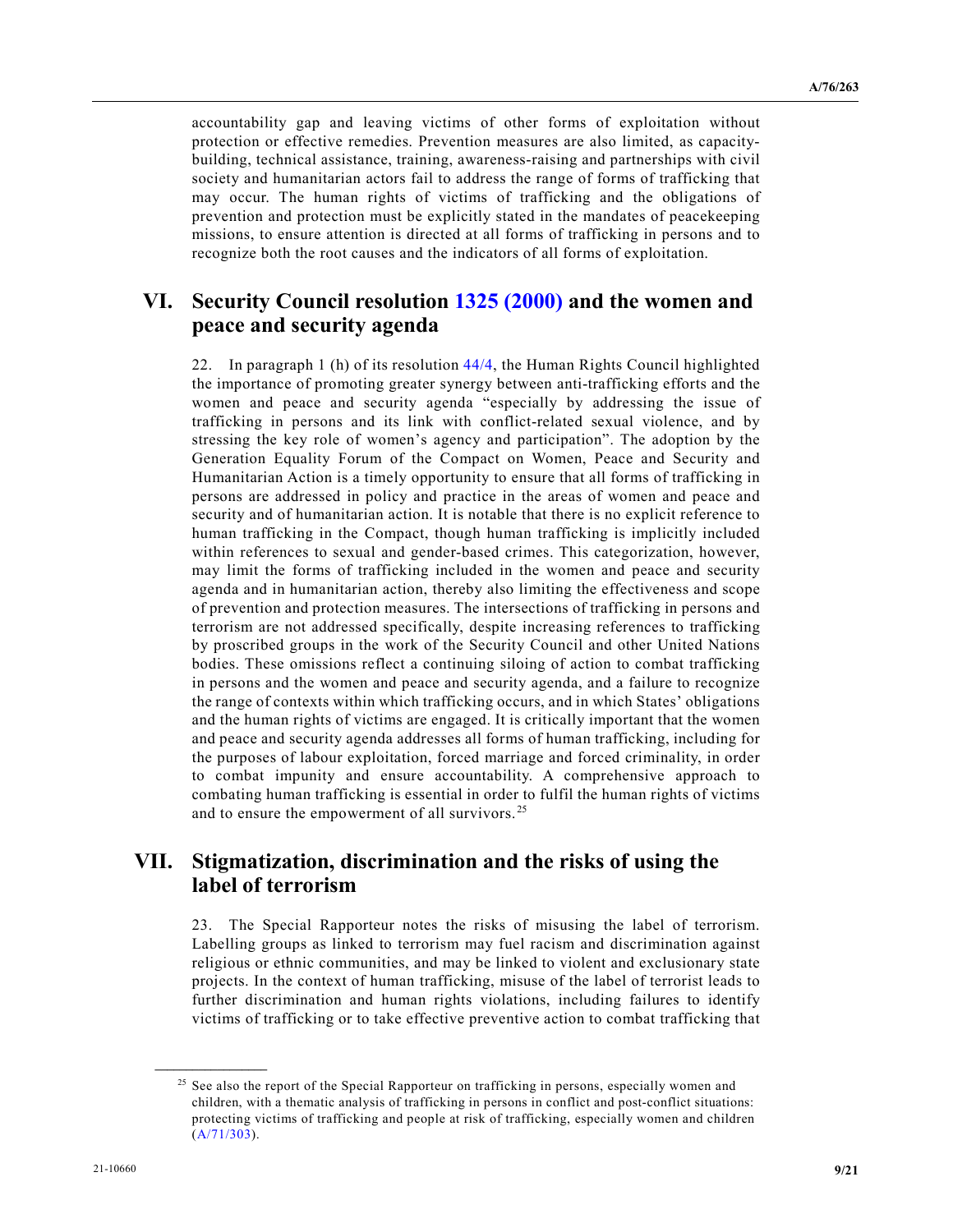accountability gap and leaving victims of other forms of exploitation without protection or effective remedies. Prevention measures are also limited, as capacitybuilding, technical assistance, training, awareness-raising and partnerships with civil society and humanitarian actors fail to address the range of forms of trafficking that may occur. The human rights of victims of trafficking and the obligations of prevention and protection must be explicitly stated in the mandates of peacekeeping missions, to ensure attention is directed at all forms of trafficking in persons and to recognize both the root causes and the indicators of all forms of exploitation.

#### **VI. Security Council resolution [1325 \(2000\)](https://undocs.org/en/S/RES/1325(2000)) and the women and peace and security agenda**

22. In paragraph 1 (h) of its resolution  $44/4$ , the Human Rights Council highlighted the importance of promoting greater synergy between anti-trafficking efforts and the women and peace and security agenda "especially by addressing the issue of trafficking in persons and its link with conflict-related sexual violence, and by stressing the key role of women's agency and participation". The adoption by the Generation Equality Forum of the Compact on Women, Peace and Security and Humanitarian Action is a timely opportunity to ensure that all forms of trafficking in persons are addressed in policy and practice in the areas of women and peace and security and of humanitarian action. It is notable that there is no explicit reference to human trafficking in the Compact, though human trafficking is implicitly included within references to sexual and gender-based crimes. This categorization, however, may limit the forms of trafficking included in the women and peace and security agenda and in humanitarian action, thereby also limiting the effectiveness and scope of prevention and protection measures. The intersections of trafficking in persons and terrorism are not addressed specifically, despite increasing references to trafficking by proscribed groups in the work of the Security Council and other United Nations bodies. These omissions reflect a continuing siloing of action to combat trafficking in persons and the women and peace and security agenda, and a failure to recognize the range of contexts within which trafficking occurs, and in which States' obligations and the human rights of victims are engaged. It is critically important that the women and peace and security agenda addresses all forms of human trafficking, including for the purposes of labour exploitation, forced marriage and forced criminality, in order to combat impunity and ensure accountability. A comprehensive approach to combating human trafficking is essential in order to fulfil the human rights of victims and to ensure the empowerment of all survivors. [25](#page-8-0)

#### **VII. Stigmatization, discrimination and the risks of using the label of terrorism**

23. The Special Rapporteur notes the risks of misusing the label of terrorism. Labelling groups as linked to terrorism may fuel racism and discrimination against religious or ethnic communities, and may be linked to violent and exclusionary state projects. In the context of human trafficking, misuse of the label of terrorist leads to further discrimination and human rights violations, including failures to identify victims of trafficking or to take effective preventive action to combat trafficking that

<span id="page-8-0"></span><sup>&</sup>lt;sup>25</sup> See also the report of the Special Rapporteur on trafficking in persons, especially women and children, with a thematic analysis of trafficking in persons in conflict and post-conflict situations: protecting victims of trafficking and people at risk of trafficking, especially women and children [\(A/71/303\)](https://undocs.org/en/A/71/303).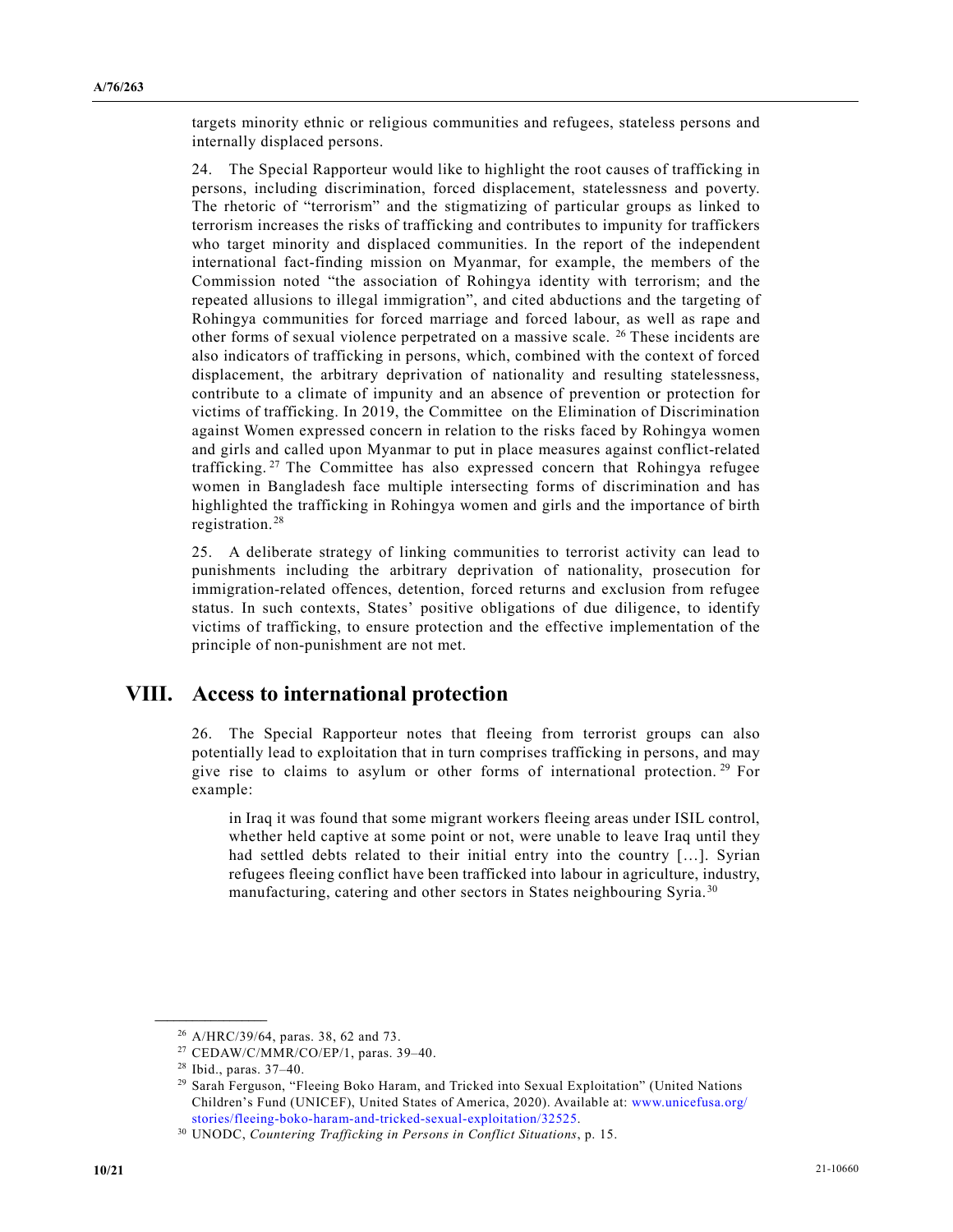targets minority ethnic or religious communities and refugees, stateless persons and internally displaced persons.

24. The Special Rapporteur would like to highlight the root causes of trafficking in persons, including discrimination, forced displacement, statelessness and poverty. The rhetoric of "terrorism" and the stigmatizing of particular groups as linked to terrorism increases the risks of trafficking and contributes to impunity for traffickers who target minority and displaced communities. In the report of the independent international fact-finding mission on Myanmar, for example, the members of the Commission noted "the association of Rohingya identity with terrorism; and the repeated allusions to illegal immigration", and cited abductions and the targeting of Rohingya communities for forced marriage and forced labour, as well as rape and other forms of sexual violence perpetrated on a massive scale. [26](#page-9-0) These incidents are also indicators of trafficking in persons, which, combined with the context of forced displacement, the arbitrary deprivation of nationality and resulting statelessness, contribute to a climate of impunity and an absence of prevention or protection for victims of trafficking. In 2019, the Committee on the Elimination of Discrimination against Women expressed concern in relation to the risks faced by Rohingya women and girls and called upon Myanmar to put in place measures against conflict-related trafficking. [27](#page-9-1) The Committee has also expressed concern that Rohingya refugee women in Bangladesh face multiple intersecting forms of discrimination and has highlighted the trafficking in Rohingya women and girls and the importance of birth registration. [28](#page-9-2)

25. A deliberate strategy of linking communities to terrorist activity can lead to punishments including the arbitrary deprivation of nationality, prosecution for immigration-related offences, detention, forced returns and exclusion from refugee status. In such contexts, States' positive obligations of due diligence, to identify victims of trafficking, to ensure protection and the effective implementation of the principle of non-punishment are not met.

## **VIII. Access to international protection**

26. The Special Rapporteur notes that fleeing from terrorist groups can also potentially lead to exploitation that in turn comprises trafficking in persons, and may give rise to claims to asylum or other forms of international protection. [29](#page-9-3) For example:

in Iraq it was found that some migrant workers fleeing areas under ISIL control, whether held captive at some point or not, were unable to leave Iraq until they had settled debts related to their initial entry into the country […]. Syrian refugees fleeing conflict have been trafficked into labour in agriculture, industry, manufacturing, catering and other sectors in States neighbouring Syria.<sup>[30](#page-9-4)</sup>

<span id="page-9-0"></span><sup>26</sup> A/HRC/39/64, paras. 38, 62 and 73.

<span id="page-9-1"></span><sup>27</sup> CEDAW/C/MMR/CO/EP/1, paras. 39–40.

<sup>28</sup> Ibid., paras. 37–40.

<span id="page-9-3"></span><span id="page-9-2"></span><sup>29</sup> Sarah Ferguson, "Fleeing Boko Haram, and Tricked into Sexual Exploitation" (United Nations Children's Fund (UNICEF), United States of America, 2020). Available at: [www.unicefusa.org/](http://www.unicefusa.org/stories/fleeing-boko-haram-and-tricked-sexual-exploitation/32525) [stories/fleeing-boko-haram-and-tricked-sexual-exploitation/32525.](http://www.unicefusa.org/stories/fleeing-boko-haram-and-tricked-sexual-exploitation/32525)

<span id="page-9-4"></span><sup>30</sup> UNODC, *Countering Trafficking in Persons in Conflict Situations*, p. 15.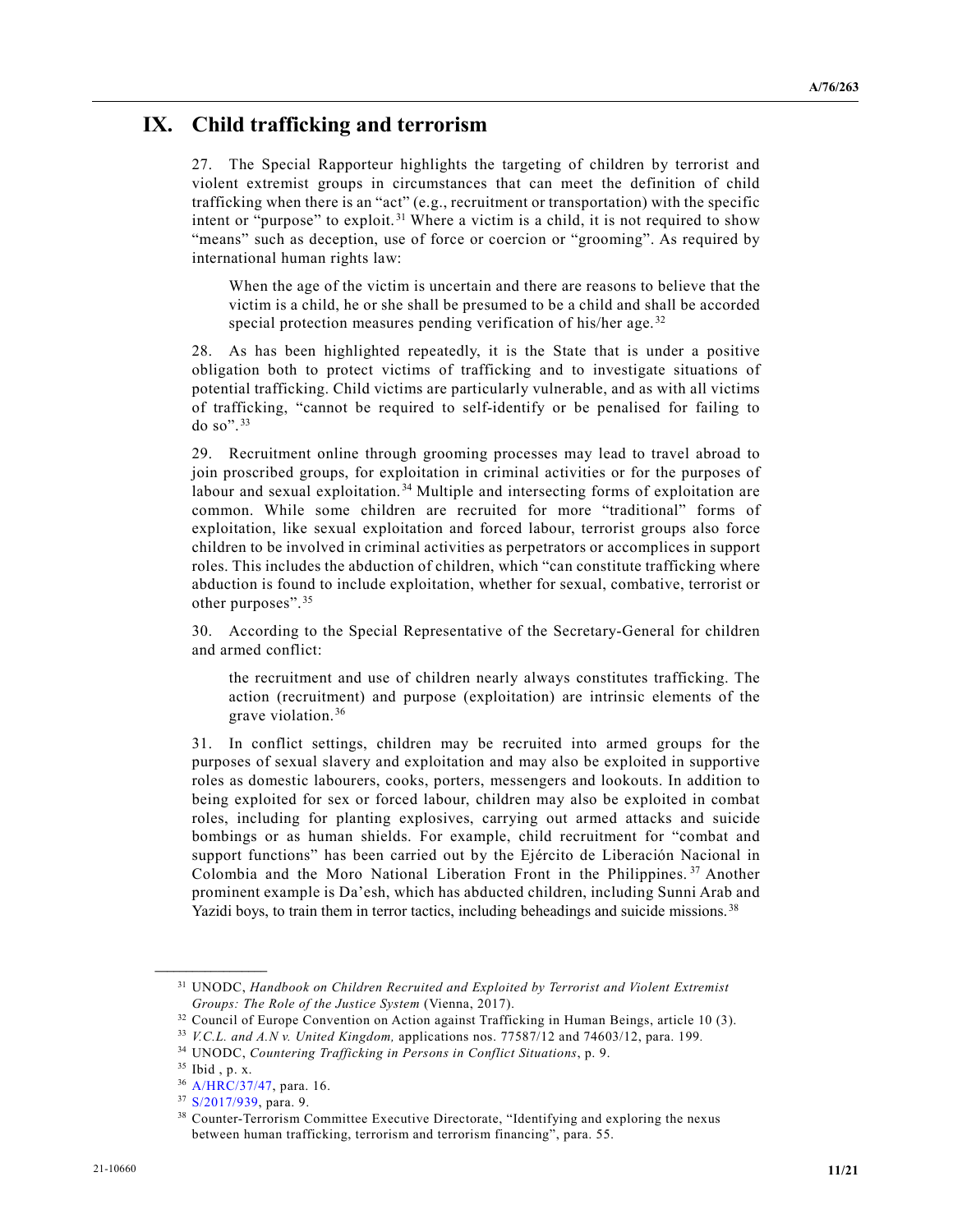# **IX. Child trafficking and terrorism**

27. The Special Rapporteur highlights the targeting of children by terrorist and violent extremist groups in circumstances that can meet the definition of child trafficking when there is an "act" (e.g., recruitment or transportation) with the specific intent or "purpose" to exploit. [31](#page-10-0) Where a victim is a child, it is not required to show "means" such as deception, use of force or coercion or "grooming". As required by international human rights law:

When the age of the victim is uncertain and there are reasons to believe that the victim is a child, he or she shall be presumed to be a child and shall be accorded special protection measures pending verification of his/her age.<sup>[32](#page-10-1)</sup>

28. As has been highlighted repeatedly, it is the State that is under a positive obligation both to protect victims of trafficking and to investigate situations of potential trafficking. Child victims are particularly vulnerable, and as with all victims of trafficking, "cannot be required to self-identify or be penalised for failing to do so". [33](#page-10-2)

29. Recruitment online through grooming processes may lead to travel abroad to join proscribed groups, for exploitation in criminal activities or for the purposes of labour and sexual exploitation. [34](#page-10-3) Multiple and intersecting forms of exploitation are common. While some children are recruited for more "traditional" forms of exploitation, like sexual exploitation and forced labour, terrorist groups also force children to be involved in criminal activities as perpetrators or accomplices in support roles. This includes the abduction of children, which "can constitute trafficking where abduction is found to include exploitation, whether for sexual, combative, terrorist or other purposes". [35](#page-10-4)

30. According to the Special Representative of the Secretary-General for children and armed conflict:

the recruitment and use of children nearly always constitutes trafficking. The action (recruitment) and purpose (exploitation) are intrinsic elements of the grave violation. [36](#page-10-5)

31. In conflict settings, children may be recruited into armed groups for the purposes of sexual slavery and exploitation and may also be exploited in supportive roles as domestic labourers, cooks, porters, messengers and lookouts. In addition to being exploited for sex or forced labour, children may also be exploited in combat roles, including for planting explosives, carrying out armed attacks and suicide bombings or as human shields. For example, child recruitment for "combat and support functions" has been carried out by the Ejército de Liberación Nacional in Colombia and the Moro National Liberation Front in the Philippines. [37](#page-10-6) Another prominent example is Da'esh, which has abducted children, including Sunni Arab and Yazidi boys, to train them in terror tactics, including beheadings and suicide missions.<sup>[38](#page-10-7)</sup>

<span id="page-10-0"></span><sup>31</sup> UNODC, *Handbook on Children Recruited and Exploited by Terrorist and Violent Extremist Groups: The Role of the Justice System* (Vienna, 2017).

<sup>&</sup>lt;sup>32</sup> Council of Europe Convention on Action against Trafficking in Human Beings, article 10 (3).

<span id="page-10-2"></span><span id="page-10-1"></span><sup>33</sup> *V.C.L. and A.N v. United Kingdom,* applications nos. 77587/12 and 74603/12, para. 199*.*

<span id="page-10-4"></span><span id="page-10-3"></span><sup>34</sup> UNODC, *Countering Trafficking in Persons in Conflict Situations*, p. 9.

<sup>35</sup> Ibid , p. x.

<span id="page-10-5"></span><sup>36</sup> [A/HRC/37/47,](https://undocs.org/en/A/HRC/37/47) para. 16.

<span id="page-10-6"></span><sup>37</sup> [S/2017/939,](https://undocs.org/en/S/2017/939) para. 9.

<span id="page-10-7"></span><sup>38</sup> Counter-Terrorism Committee Executive Directorate, "Identifying and exploring the nexus between human trafficking, terrorism and terrorism financing", para. 55.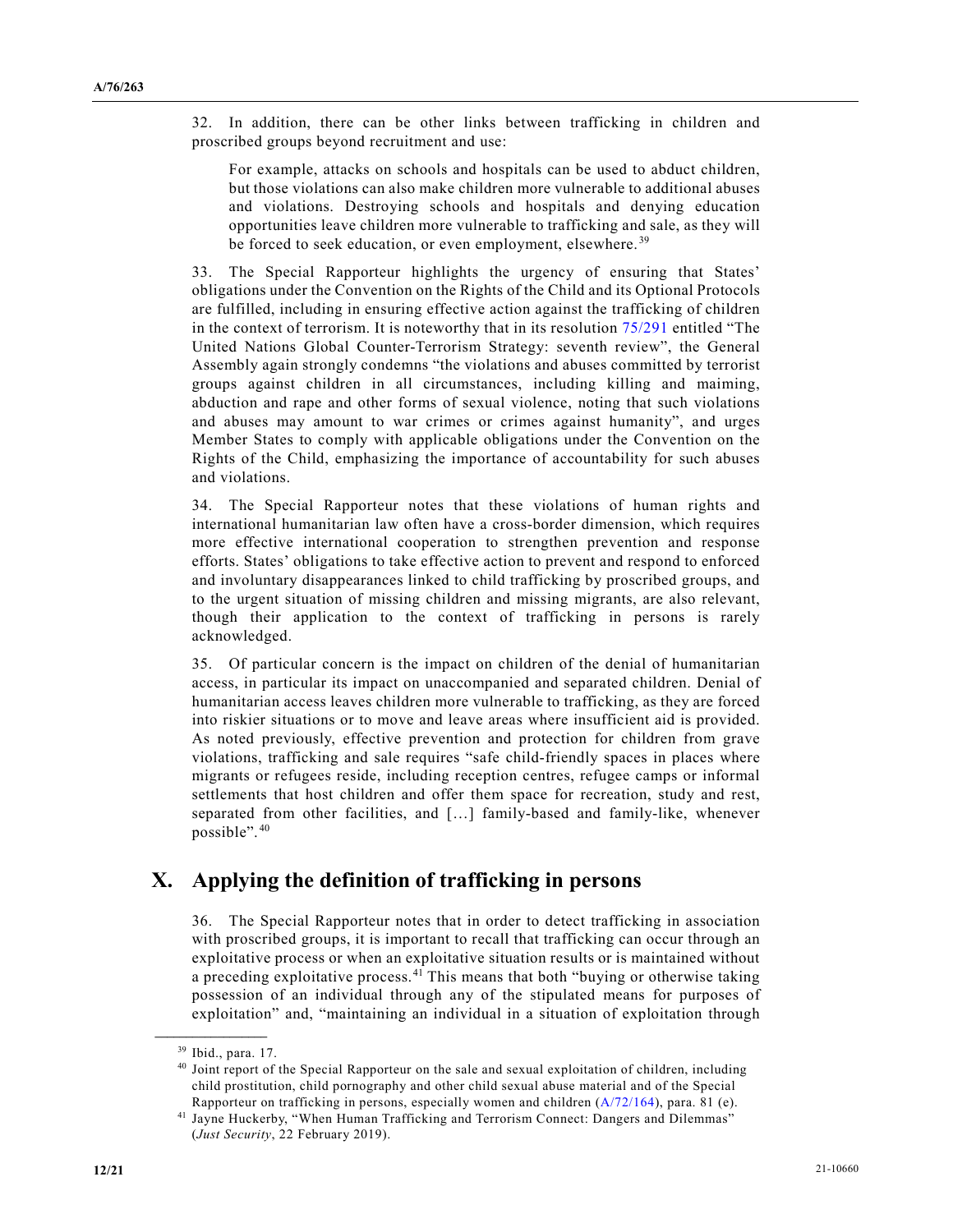32. In addition, there can be other links between trafficking in children and proscribed groups beyond recruitment and use:

For example, attacks on schools and hospitals can be used to abduct children, but those violations can also make children more vulnerable to additional abuses and violations. Destroying schools and hospitals and denying education opportunities leave children more vulnerable to trafficking and sale, as they will be forced to seek education, or even employment, elsewhere.<sup>[39](#page-11-0)</sup>

33. The Special Rapporteur highlights the urgency of ensuring that States' obligations under the Convention on the Rights of the Child and its Optional Protocols are fulfilled, including in ensuring effective action against the trafficking of children in the context of terrorism. It is noteworthy that in its resolution [75/291](https://undocs.org/en/A/RES/75/291) entitled "The United Nations Global Counter-Terrorism Strategy: seventh review", the General Assembly again strongly condemns "the violations and abuses committed by terrorist groups against children in all circumstances, including killing and maiming, abduction and rape and other forms of sexual violence, noting that such violations and abuses may amount to war crimes or crimes against humanity", and urges Member States to comply with applicable obligations under the Convention on the Rights of the Child, emphasizing the importance of accountability for such abuses and violations.

34. The Special Rapporteur notes that these violations of human rights and international humanitarian law often have a cross-border dimension, which requires more effective international cooperation to strengthen prevention and response efforts. States' obligations to take effective action to prevent and respond to enforced and involuntary disappearances linked to child trafficking by proscribed groups, and to the urgent situation of missing children and missing migrants, are also relevant, though their application to the context of trafficking in persons is rarely acknowledged.

35. Of particular concern is the impact on children of the denial of humanitarian access, in particular its impact on unaccompanied and separated children. Denial of humanitarian access leaves children more vulnerable to trafficking, as they are forced into riskier situations or to move and leave areas where insufficient aid is provided. As noted previously, effective prevention and protection for children from grave violations, trafficking and sale requires "safe child-friendly spaces in places where migrants or refugees reside, including reception centres, refugee camps or informal settlements that host children and offer them space for recreation, study and rest, separated from other facilities, and […] family-based and family-like, whenever possible". [40](#page-11-1)

## **X. Applying the definition of trafficking in persons**

36. The Special Rapporteur notes that in order to detect trafficking in association with proscribed groups, it is important to recall that trafficking can occur through an exploitative process or when an exploitative situation results or is maintained without a preceding exploitative process.<sup>[41](#page-11-2)</sup> This means that both "buying or otherwise taking possession of an individual through any of the stipulated means for purposes of exploitation" and, "maintaining an individual in a situation of exploitation through

<span id="page-11-0"></span><sup>39</sup> Ibid., para. 17.

<span id="page-11-1"></span><sup>40</sup> Joint report of the Special Rapporteur on the sale and sexual exploitation of children, including child prostitution, child pornography and other child sexual abuse material and of the Special Rapporteur on trafficking in persons, especially women and children [\(A/72/164\)](https://undocs.org/en/A/72/164), para. 81 (e).

<span id="page-11-2"></span><sup>41</sup> Jayne Huckerby, "When Human Trafficking and Terrorism Connect: Dangers and Dilemmas" (*Just Security*, 22 February 2019).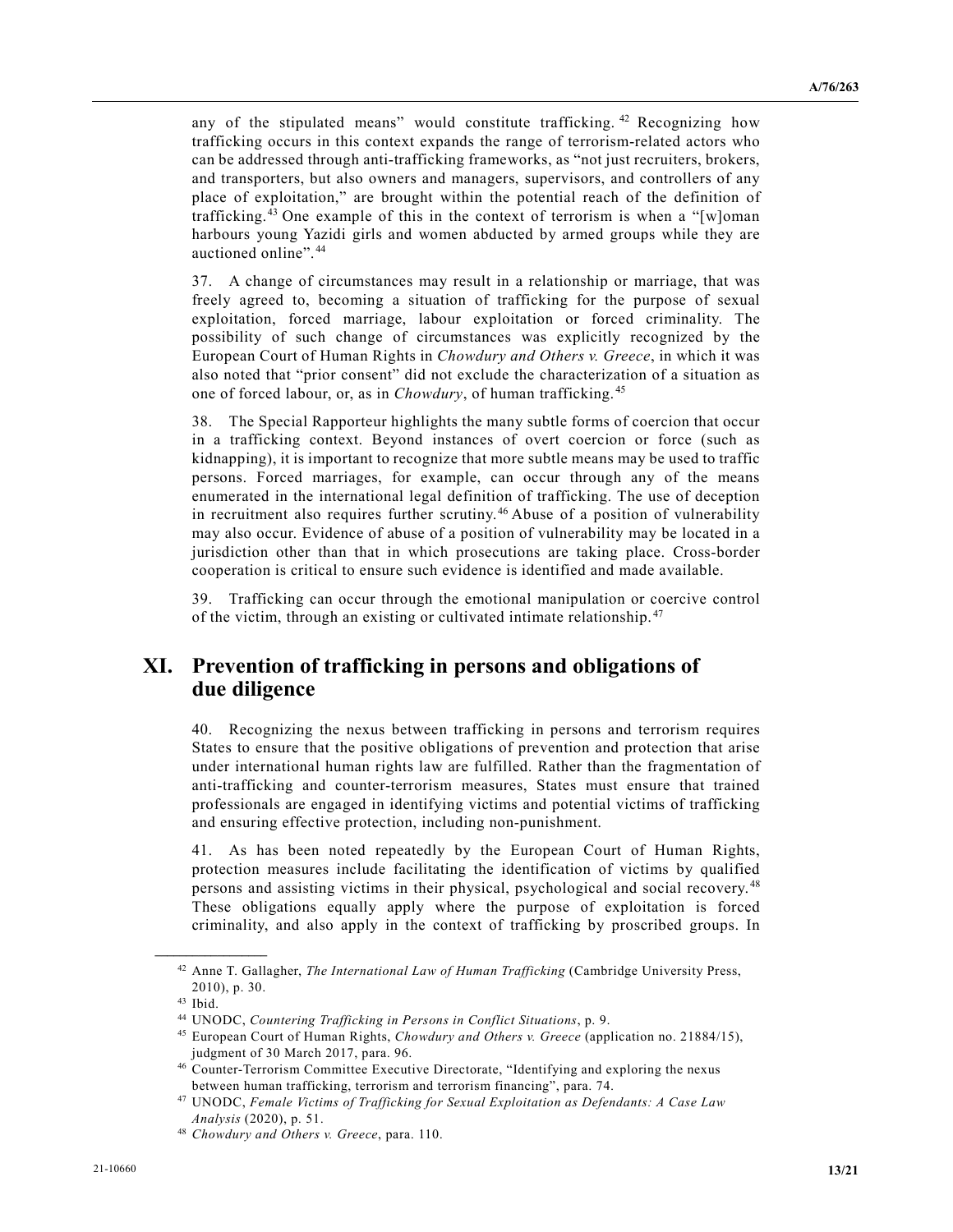any of the stipulated means" would constitute trafficking.  $42$  Recognizing how trafficking occurs in this context expands the range of terrorism-related actors who can be addressed through anti-trafficking frameworks, as "not just recruiters, brokers, and transporters, but also owners and managers, supervisors, and controllers of any place of exploitation," are brought within the potential reach of the definition of trafficking. [43](#page-12-1) One example of this in the context of terrorism is when a "[w]oman harbours young Yazidi girls and women abducted by armed groups while they are auctioned online". [44](#page-12-2)

37. A change of circumstances may result in a relationship or marriage, that was freely agreed to, becoming a situation of trafficking for the purpose of sexual exploitation, forced marriage, labour exploitation or forced criminality. The possibility of such change of circumstances was explicitly recognized by the European Court of Human Rights in *Chowdury and Others v. Greece*, in which it was also noted that "prior consent" did not exclude the characterization of a situation as one of forced labour, or, as in *Chowdury*, of human trafficking. [45](#page-12-3)

38. The Special Rapporteur highlights the many subtle forms of coercion that occur in a trafficking context. Beyond instances of overt coercion or force (such as kidnapping), it is important to recognize that more subtle means may be used to traffic persons. Forced marriages, for example, can occur through any of the means enumerated in the international legal definition of trafficking. The use of deception in recruitment also requires further scrutiny. [46](#page-12-4) Abuse of a position of vulnerability may also occur. Evidence of abuse of a position of vulnerability may be located in a jurisdiction other than that in which prosecutions are taking place. Cross-border cooperation is critical to ensure such evidence is identified and made available.

39. Trafficking can occur through the emotional manipulation or coercive control of the victim, through an existing or cultivated intimate relationship. [47](#page-12-5)

## **XI. Prevention of trafficking in persons and obligations of due diligence**

40. Recognizing the nexus between trafficking in persons and terrorism requires States to ensure that the positive obligations of prevention and protection that arise under international human rights law are fulfilled. Rather than the fragmentation of anti-trafficking and counter-terrorism measures, States must ensure that trained professionals are engaged in identifying victims and potential victims of trafficking and ensuring effective protection, including non-punishment.

41. As has been noted repeatedly by the European Court of Human Rights, protection measures include facilitating the identification of victims by qualified persons and assisting victims in their physical, psychological and social recovery. [48](#page-12-6) These obligations equally apply where the purpose of exploitation is forced criminality, and also apply in the context of trafficking by proscribed groups. In

<span id="page-12-0"></span><sup>42</sup> Anne T. Gallagher, *The International Law of Human Trafficking* (Cambridge University Press, 2010), p. 30.

<span id="page-12-1"></span><sup>43</sup> Ibid.

<span id="page-12-2"></span><sup>44</sup> UNODC, *Countering Trafficking in Persons in Conflict Situations*, p. 9.

<span id="page-12-3"></span><sup>45</sup> European Court of Human Rights, *Chowdury and Others v. Greece* (application no. 21884/15), judgment of 30 March 2017, para. 96.

<span id="page-12-4"></span><sup>46</sup> Counter-Terrorism Committee Executive Directorate, "Identifying and exploring the nexus between human trafficking, terrorism and terrorism financing", para. 74.

<span id="page-12-5"></span><sup>47</sup> UNODC, *Female Victims of Trafficking for Sexual Exploitation as Defendants: A Case Law Analysis* (2020), p. 51.

<span id="page-12-6"></span><sup>48</sup> *Chowdury and Others v. Greece*, para. 110.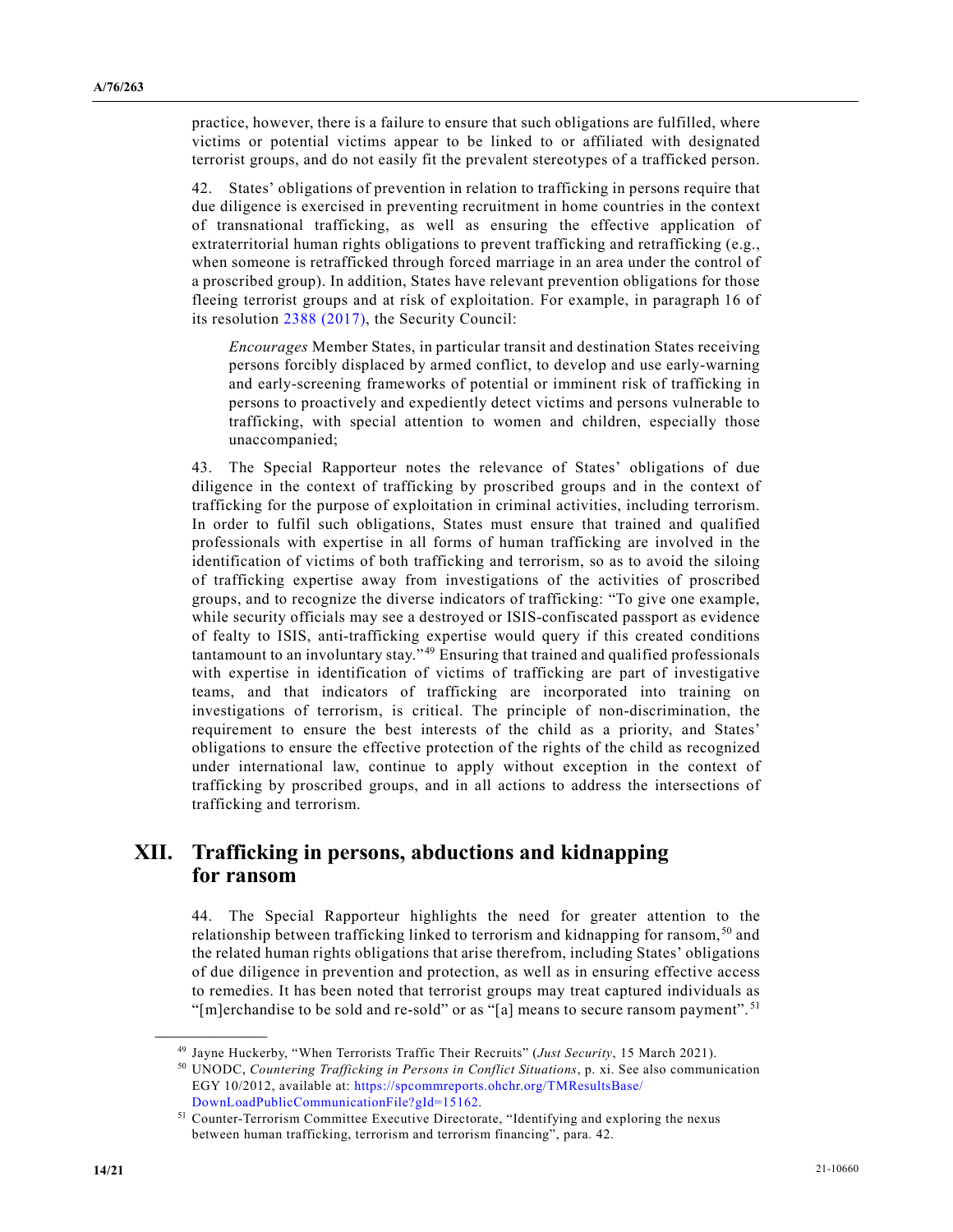practice, however, there is a failure to ensure that such obligations are fulfilled, where victims or potential victims appear to be linked to or affiliated with designated terrorist groups, and do not easily fit the prevalent stereotypes of a trafficked person.

42. States' obligations of prevention in relation to trafficking in persons require that due diligence is exercised in preventing recruitment in home countries in the context of transnational trafficking, as well as ensuring the effective application of extraterritorial human rights obligations to prevent trafficking and retrafficking (e.g., when someone is retrafficked through forced marriage in an area under the control of a proscribed group). In addition, States have relevant prevention obligations for those fleeing terrorist groups and at risk of exploitation. For example, in paragraph 16 of its resolution [2388 \(2017\),](https://undocs.org/en/S/RES/2388(2017)) the Security Council:

*Encourages* Member States, in particular transit and destination States receiving persons forcibly displaced by armed conflict, to develop and use early-warning and early-screening frameworks of potential or imminent risk of trafficking in persons to proactively and expediently detect victims and persons vulnerable to trafficking, with special attention to women and children, especially those unaccompanied;

43. The Special Rapporteur notes the relevance of States' obligations of due diligence in the context of trafficking by proscribed groups and in the context of trafficking for the purpose of exploitation in criminal activities, including terrorism. In order to fulfil such obligations, States must ensure that trained and qualified professionals with expertise in all forms of human trafficking are involved in the identification of victims of both trafficking and terrorism, so as to avoid the siloing of trafficking expertise away from investigations of the activities of proscribed groups, and to recognize the diverse indicators of trafficking: "To give one example, while security officials may see a destroyed or ISIS-confiscated passport as evidence of fealty to ISIS, anti-trafficking expertise would query if this created conditions tantamount to an involuntary stay." [49](#page-13-0) Ensuring that trained and qualified professionals with expertise in identification of victims of trafficking are part of investigative teams, and that indicators of trafficking are incorporated into training on investigations of terrorism, is critical. The principle of non-discrimination, the requirement to ensure the best interests of the child as a priority, and States' obligations to ensure the effective protection of the rights of the child as recognized under international law, continue to apply without exception in the context of trafficking by proscribed groups, and in all actions to address the intersections of trafficking and terrorism.

#### **XII. Trafficking in persons, abductions and kidnapping for ransom**

44. The Special Rapporteur highlights the need for greater attention to the relationship between trafficking linked to terrorism and kidnapping for ransom, [50](#page-13-1) and the related human rights obligations that arise therefrom, including States' obligations of due diligence in prevention and protection, as well as in ensuring effective access to remedies. It has been noted that terrorist groups may treat captured individuals as "[m]erchandise to be sold and re-sold" or as "[a] means to secure ransom payment".<sup>[51](#page-13-2)</sup>

<span id="page-13-1"></span><span id="page-13-0"></span><sup>49</sup> Jayne Huckerby, "When Terrorists Traffic Their Recruits" (*Just Security*, 15 March 2021).

<sup>50</sup> UNODC, *Countering Trafficking in Persons in Conflict Situations*, p. xi. See also communication EGY 10/2012, available at: [https://spcommreports.ohchr.org/TMResultsBase/](https://spcommreports.ohchr.org/TMResultsBase/DownLoadPublicCommunicationFile?gId=15162) [DownLoadPublicCommunicationFile?gId=15162.](https://spcommreports.ohchr.org/TMResultsBase/DownLoadPublicCommunicationFile?gId=15162)

<span id="page-13-2"></span><sup>&</sup>lt;sup>51</sup> Counter-Terrorism Committee Executive Directorate, "Identifying and exploring the nexus between human trafficking, terrorism and terrorism financing", para. 42.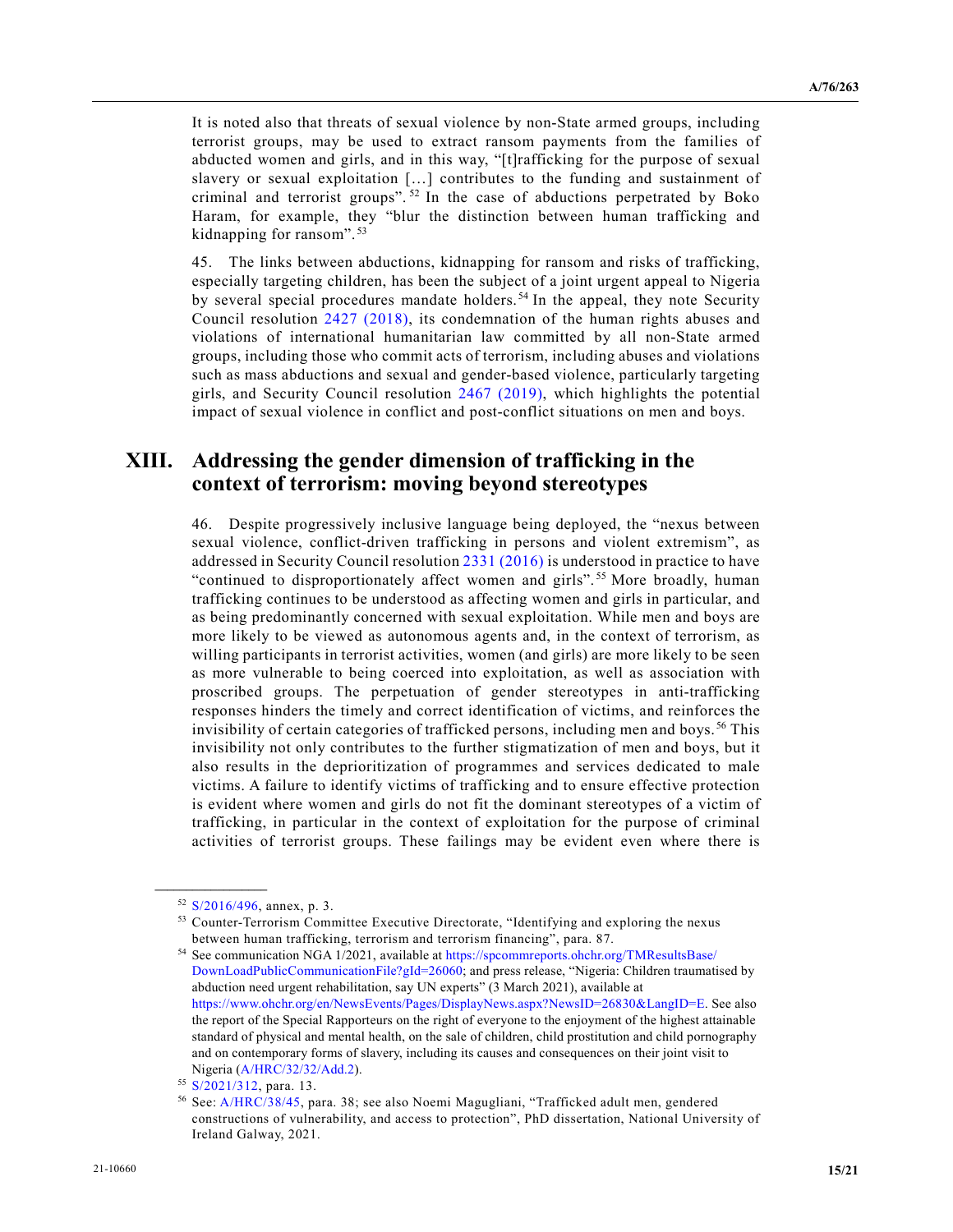It is noted also that threats of sexual violence by non-State armed groups, including terrorist groups, may be used to extract ransom payments from the families of abducted women and girls, and in this way, "[t]rafficking for the purpose of sexual slavery or sexual exploitation […] contributes to the funding and sustainment of criminal and terrorist groups". [52](#page-14-0) In the case of abductions perpetrated by Boko Haram, for example, they "blur the distinction between human trafficking and kidnapping for ransom". [53](#page-14-1)

45. The links between abductions, kidnapping for ransom and risks of trafficking, especially targeting children, has been the subject of a joint urgent appeal to Nigeria by several special procedures mandate holders. [54](#page-14-2) In the appeal, they note Security Council resolution [2427 \(2018\),](https://undocs.org/en/S/RES/2427(2018)) its condemnation of the human rights abuses and violations of international humanitarian law committed by all non-State armed groups, including those who commit acts of terrorism, including abuses and violations such as mass abductions and sexual and gender-based violence, particularly targeting girls, and Security Council resolution [2467 \(2019\),](https://undocs.org/en/S/RES/2467(2019)) which highlights the potential impact of sexual violence in conflict and post-conflict situations on men and boys.

#### **XIII. Addressing the gender dimension of trafficking in the context of terrorism: moving beyond stereotypes**

46. Despite progressively inclusive language being deployed, the "nexus between sexual violence, conflict-driven trafficking in persons and violent extremism", as addressed in Security Council resolutio[n 2331 \(2016\)](https://undocs.org/en/S/RES/2331(2016)) is understood in practice to have "continued to disproportionately affect women and girls". [55](#page-14-3) More broadly, human trafficking continues to be understood as affecting women and girls in particular, and as being predominantly concerned with sexual exploitation. While men and boys are more likely to be viewed as autonomous agents and, in the context of terrorism, as willing participants in terrorist activities, women (and girls) are more likely to be seen as more vulnerable to being coerced into exploitation, as well as association with proscribed groups. The perpetuation of gender stereotypes in anti-trafficking responses hinders the timely and correct identification of victims, and reinforces the invisibility of certain categories of trafficked persons, including men and boys. [56](#page-14-4) This invisibility not only contributes to the further stigmatization of men and boys, but it also results in the deprioritization of programmes and services dedicated to male victims. A failure to identify victims of trafficking and to ensure effective protection is evident where women and girls do not fit the dominant stereotypes of a victim of trafficking, in particular in the context of exploitation for the purpose of criminal activities of terrorist groups. These failings may be evident even where there is

<span id="page-14-1"></span><span id="page-14-0"></span><sup>52</sup> [S/2016/496,](https://undocs.org/en/S/2016/496) annex, p. 3.

<sup>53</sup> Counter-Terrorism Committee Executive Directorate, "Identifying and exploring the nexus between human trafficking, terrorism and terrorism financing", para. 87.

<span id="page-14-2"></span><sup>54</sup> See communication NGA 1/2021, available a[t https://spcommreports.ohchr.org/TMResultsBase/](https://spcommreports.ohchr.org/TMResultsBase/DownLoadPublicCommunicationFile?gId=26060) [DownLoadPublicCommunicationFile?gId=26060;](https://spcommreports.ohchr.org/TMResultsBase/DownLoadPublicCommunicationFile?gId=26060) and press release, "Nigeria: Children traumatised by abduction need urgent rehabilitation, say UN experts" (3 March 2021), available at [https://www.ohchr.org/en/NewsEvents/Pages/DisplayNews.aspx?NewsID=26830&LangID=E.](https://www.ohchr.org/en/NewsEvents/Pages/DisplayNews.aspx?NewsID=26830&LangID=E) See also the report of the Special Rapporteurs on the right of everyone to the enjoyment of the highest attainable standard of physical and mental health, on the sale of children, child prostitution and child pornography and on contemporary forms of slavery, including its causes and consequences on their joint visit to Nigeria [\(A/HRC/32/32/Add.2\)](https://undocs.org/en/A/HRC/32/32/Add.2).

<span id="page-14-3"></span><sup>&</sup>lt;sup>55</sup> [S/2021/312,](https://undocs.org/en/S/2021/312) para. 13.

<span id="page-14-4"></span><sup>56</sup> See[: A/HRC/38/45,](https://undocs.org/en/A/HRC/38/45) para. 38; see also Noemi Magugliani, "Trafficked adult men, gendered constructions of vulnerability, and access to protection", PhD dissertation, National University of Ireland Galway, 2021.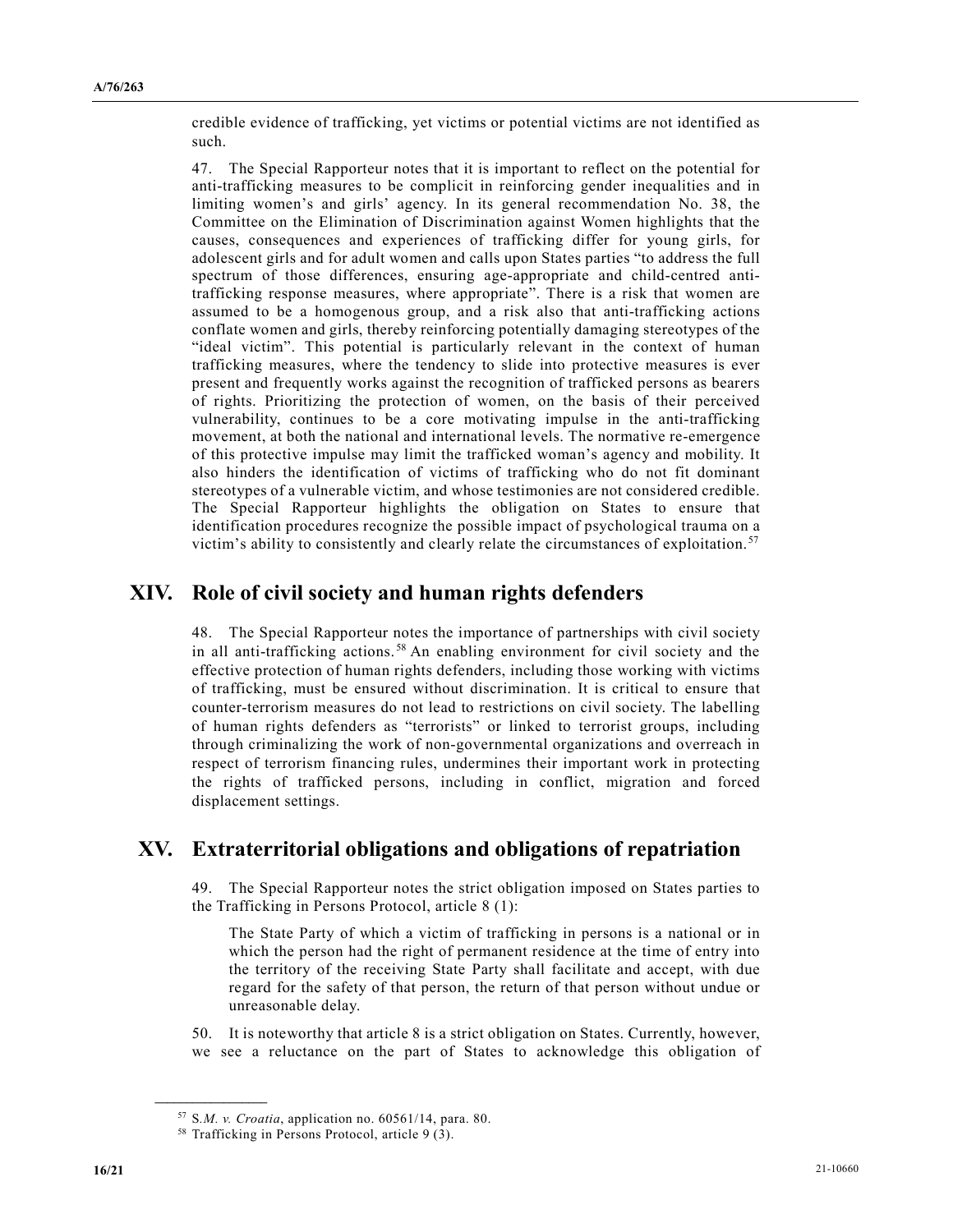credible evidence of trafficking, yet victims or potential victims are not identified as such.

47. The Special Rapporteur notes that it is important to reflect on the potential for anti-trafficking measures to be complicit in reinforcing gender inequalities and in limiting women's and girls' agency. In its general recommendation No. 38, the Committee on the Elimination of Discrimination against Women highlights that the causes, consequences and experiences of trafficking differ for young girls, for adolescent girls and for adult women and calls upon States parties "to address the full spectrum of those differences, ensuring age-appropriate and child-centred antitrafficking response measures, where appropriate". There is a risk that women are assumed to be a homogenous group, and a risk also that anti-trafficking actions conflate women and girls, thereby reinforcing potentially damaging stereotypes of the "ideal victim". This potential is particularly relevant in the context of human trafficking measures, where the tendency to slide into protective measures is ever present and frequently works against the recognition of trafficked persons as bearers of rights. Prioritizing the protection of women, on the basis of their perceived vulnerability, continues to be a core motivating impulse in the anti-trafficking movement, at both the national and international levels. The normative re-emergence of this protective impulse may limit the trafficked woman's agency and mobility. It also hinders the identification of victims of trafficking who do not fit dominant stereotypes of a vulnerable victim, and whose testimonies are not considered credible. The Special Rapporteur highlights the obligation on States to ensure that identification procedures recognize the possible impact of psychological trauma on a victim's ability to consistently and clearly relate the circumstances of exploitation. [57](#page-15-0)

## **XIV. Role of civil society and human rights defenders**

48. The Special Rapporteur notes the importance of partnerships with civil society in all anti-trafficking actions. [58](#page-15-1) An enabling environment for civil society and the effective protection of human rights defenders, including those working with victims of trafficking, must be ensured without discrimination. It is critical to ensure that counter-terrorism measures do not lead to restrictions on civil society. The labelling of human rights defenders as "terrorists" or linked to terrorist groups, including through criminalizing the work of non-governmental organizations and overreach in respect of terrorism financing rules, undermines their important work in protecting the rights of trafficked persons, including in conflict, migration and forced displacement settings.

## **XV. Extraterritorial obligations and obligations of repatriation**

49. The Special Rapporteur notes the strict obligation imposed on States parties to the Trafficking in Persons Protocol, article 8 (1):

The State Party of which a victim of trafficking in persons is a national or in which the person had the right of permanent residence at the time of entry into the territory of the receiving State Party shall facilitate and accept, with due regard for the safety of that person, the return of that person without undue or unreasonable delay.

50. It is noteworthy that article 8 is a strict obligation on States. Currently, however, we see a reluctance on the part of States to acknowledge this obligation of

<span id="page-15-0"></span><sup>57</sup> S*.M. v. Croatia*, application no. 60561/14, para. 80.

<span id="page-15-1"></span><sup>58</sup> Trafficking in Persons Protocol, article 9 (3).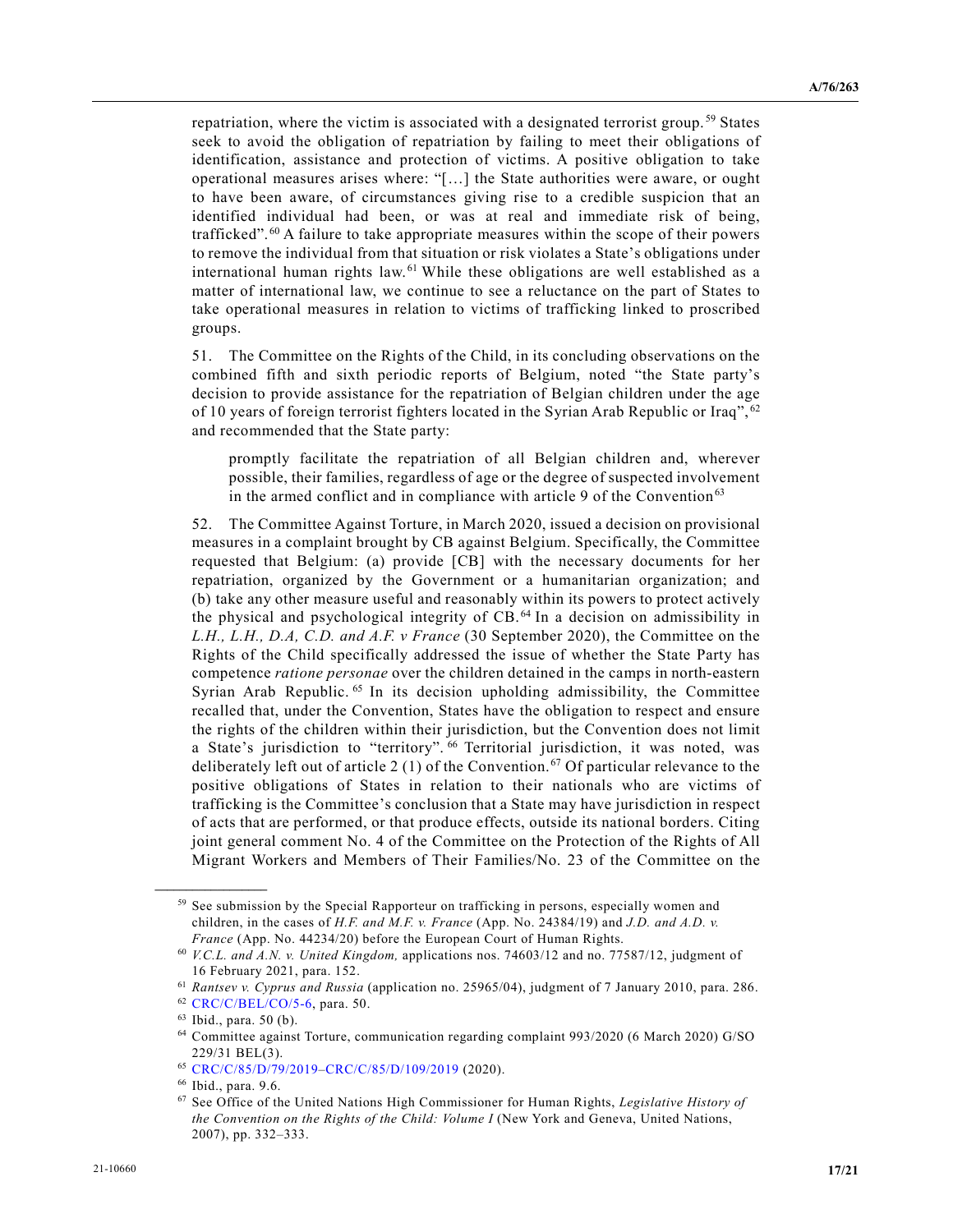repatriation, where the victim is associated with a designated terrorist group. [59](#page-16-0) States seek to avoid the obligation of repatriation by failing to meet their obligations of identification, assistance and protection of victims. A positive obligation to take operational measures arises where: "[…] the State authorities were aware, or ought to have been aware, of circumstances giving rise to a credible suspicion that an identified individual had been, or was at real and immediate risk of being, trafficked". [60](#page-16-1) A failure to take appropriate measures within the scope of their powers to remove the individual from that situation or risk violates a State's obligations under international human rights law. [61](#page-16-2) While these obligations are well established as a matter of international law, we continue to see a reluctance on the part of States to take operational measures in relation to victims of trafficking linked to proscribed groups.

51. The Committee on the Rights of the Child, in its concluding observations on the combined fifth and sixth periodic reports of Belgium, noted "the State party's decision to provide assistance for the repatriation of Belgian children under the age of 10 years of foreign terrorist fighters located in the Syrian Arab Republic or Iraq", [62](#page-16-3) and recommended that the State party:

promptly facilitate the repatriation of all Belgian children and, wherever possible, their families, regardless of age or the degree of suspected involvement in the armed conflict and in compliance with article 9 of the Convention<sup>[63](#page-16-4)</sup>

52. The Committee Against Torture, in March 2020, issued a decision on provisional measures in a complaint brought by CB against Belgium. Specifically, the Committee requested that Belgium: (a) provide [CB] with the necessary documents for her repatriation, organized by the Government or a humanitarian organization; and (b) take any other measure useful and reasonably within its powers to protect actively the physical and psychological integrity of CB. [64](#page-16-5) In a decision on admissibility in *L.H., L.H., D.A, C.D. and A.F. v France* (30 September 2020), the Committee on the Rights of the Child specifically addressed the issue of whether the State Party has competence *ratione personae* over the children detained in the camps in north-eastern Syrian Arab Republic.<sup>[65](#page-16-6)</sup> In its decision upholding admissibility, the Committee recalled that, under the Convention, States have the obligation to respect and ensure the rights of the children within their jurisdiction, but the Convention does not limit a State's jurisdiction to "territory". [66](#page-16-7) Territorial jurisdiction, it was noted, was deliberately left out of article 2 (1) of the Convention.<sup>[67](#page-16-8)</sup> Of particular relevance to the positive obligations of States in relation to their nationals who are victims of trafficking is the Committee's conclusion that a State may have jurisdiction in respect of acts that are performed, or that produce effects, outside its national borders. Citing joint general comment No. 4 of the Committee on the Protection of the Rights of All Migrant Workers and Members of Their Families/No. 23 of the Committee on the

<span id="page-16-0"></span><sup>&</sup>lt;sup>59</sup> See submission by the Special Rapporteur on trafficking in persons, especially women and children, in the cases of *H.F. and M.F. v. France* (App. No. 24384/19) and *J.D. and A.D. v. France* (App. No. 44234/20) before the European Court of Human Rights.

<span id="page-16-1"></span><sup>60</sup> *V.C.L. and A.N. v. United Kingdom,* applications nos. 74603/12 and no. 77587/12, judgment of 16 February 2021, para. 152.

<sup>61</sup> *Rantsev v. Cyprus and Russia* (application no. 25965/04), judgment of 7 January 2010, para. 286.

<span id="page-16-4"></span><span id="page-16-3"></span><span id="page-16-2"></span><sup>62</sup> [CRC/C/BEL/CO/5-6,](https://undocs.org/en/CRC/C/BEL/CO/5-6) para. 50.

<sup>63</sup> Ibid., para. 50 (b).

<span id="page-16-5"></span><sup>64</sup> Committee against Torture, communication regarding complaint 993/2020 (6 March 2020) G/SO 229/31 BEL(3).

<span id="page-16-6"></span><sup>65</sup> [CRC/C/85/D/79/2019–](https://undocs.org/en/CRC/C/85/D/79/2019)[CRC/C/85/D/109/2019](https://undocs.org/en/CRC/C/85/D/109/2019) (2020).

<span id="page-16-7"></span><sup>66</sup> Ibid., para. 9.6.

<span id="page-16-8"></span><sup>67</sup> See Office of the United Nations High Commissioner for Human Rights, *Legislative History of the Convention on the Rights of the Child: Volume I* (New York and Geneva, United Nations, 2007), pp. 332–333.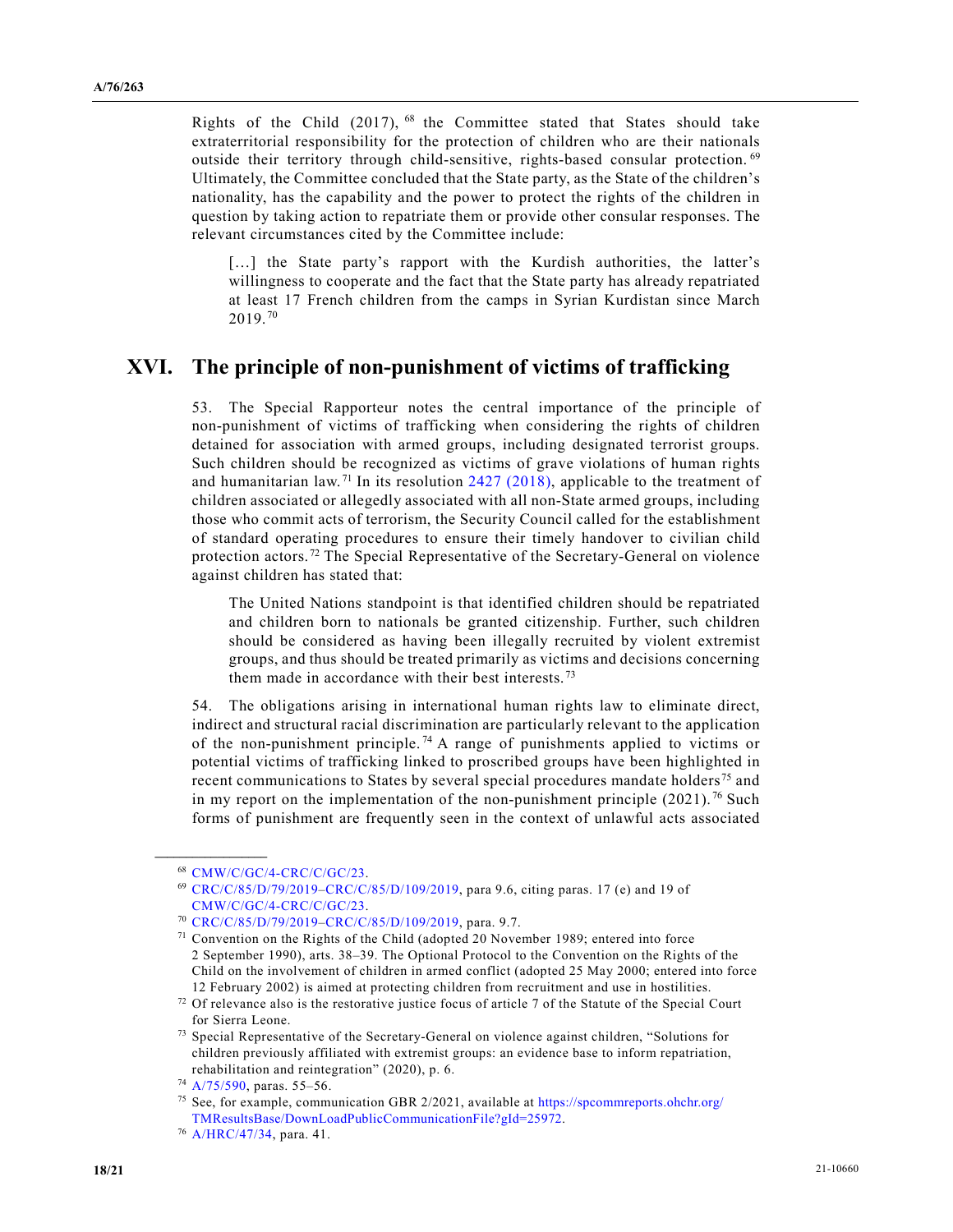Rights of the Child  $(2017)$ ,  $^{68}$  the Committee stated that States should take extraterritorial responsibility for the protection of children who are their nationals outside their territory through child-sensitive, rights-based consular protection. [69](#page-17-1) Ultimately, the Committee concluded that the State party, as the State of the children's nationality, has the capability and the power to protect the rights of the children in question by taking action to repatriate them or provide other consular responses. The relevant circumstances cited by the Committee include:

[...] the State party's rapport with the Kurdish authorities, the latter's willingness to cooperate and the fact that the State party has already repatriated at least 17 French children from the camps in Syrian Kurdistan since March 2019. [70](#page-17-2)

#### **XVI. The principle of non-punishment of victims of trafficking**

53. The Special Rapporteur notes the central importance of the principle of non-punishment of victims of trafficking when considering the rights of children detained for association with armed groups, including designated terrorist groups. Such children should be recognized as victims of grave violations of human rights and humanitarian law.<sup>[71](#page-17-3)</sup> In its resolution  $2427$  (2018), applicable to the treatment of children associated or allegedly associated with all non-State armed groups, including those who commit acts of terrorism, the Security Council called for the establishment of standard operating procedures to ensure their timely handover to civilian child protection actors. [72](#page-17-4) The Special Representative of the Secretary-General on violence against children has stated that:

The United Nations standpoint is that identified children should be repatriated and children born to nationals be granted citizenship. Further, such children should be considered as having been illegally recruited by violent extremist groups, and thus should be treated primarily as victims and decisions concerning them made in accordance with their best interests.<sup>[73](#page-17-5)</sup>

54. The obligations arising in international human rights law to eliminate direct, indirect and structural racial discrimination are particularly relevant to the application of the non-punishment principle.<sup>74</sup> A range of punishments applied to victims or potential victims of trafficking linked to proscribed groups have been highlighted in recent communications to States by several special procedures mandate holders<sup>[75](#page-17-7)</sup> and in my report on the implementation of the non-punishment principle  $(2021).^{76}$  $(2021).^{76}$  $(2021).^{76}$  Such forms of punishment are frequently seen in the context of unlawful acts associated

<span id="page-17-1"></span><span id="page-17-0"></span><sup>68</sup> [CMW/C/GC/4-CRC/C/GC/23.](https://undocs.org/en/CMW/C/GC/4-CRC/C/GC/23)

<sup>69</sup> [CRC/C/85/D/79/2019–](https://undocs.org/en/CRC/C/85/D/79/2019)[CRC/C/85/D/109/2019,](https://undocs.org/en/CRC/C/85/D/109/2019) para 9.6, citing paras. 17 (e) and 19 of [CMW/C/GC/4-CRC/C/GC/23.](https://undocs.org/en/CMW/C/GC/4-CRC/C/GC/23)

<span id="page-17-2"></span><sup>70</sup> [CRC/C/85/D/79/2019–](https://undocs.org/en/CRC/C/85/D/79/2019)[CRC/C/85/D/109/2019,](https://undocs.org/en/CRC/C/85/D/109/2019) para. 9.7.

<span id="page-17-3"></span><sup>71</sup> Convention on the Rights of the Child (adopted 20 November 1989; entered into force 2 September 1990), arts. 38–39. The Optional Protocol to the Convention on the Rights of the Child on the involvement of children in armed conflict (adopted 25 May 2000; entered into force 12 February 2002) is aimed at protecting children from recruitment and use in hostilities.

<span id="page-17-4"></span><sup>&</sup>lt;sup>72</sup> Of relevance also is the restorative justice focus of article 7 of the Statute of the Special Court for Sierra Leone.

<span id="page-17-5"></span><sup>73</sup> Special Representative of the Secretary-General on violence against children, "Solutions for children previously affiliated with extremist groups: an evidence base to inform repatriation, rehabilitation and reintegration" (2020), p. 6.

<span id="page-17-6"></span><sup>74</sup> [A/75/590,](https://undocs.org/en/A/75/590) paras. 55–56.

<span id="page-17-7"></span><sup>&</sup>lt;sup>75</sup> See, for example, communication GBR  $2/2021$ , available at https://spcommreports.ohchr.org/ [TMResultsBase/DownLoadPublicCommunicationFile?gId=25972.](https://spcommreports.ohchr.org/%20TMResultsBase/DownLoadPublicCommunicationFile?gId=25972)

<span id="page-17-8"></span><sup>76</sup> [A/HRC/47/34,](https://undocs.org/en/A/HRC/47/34) para. 41.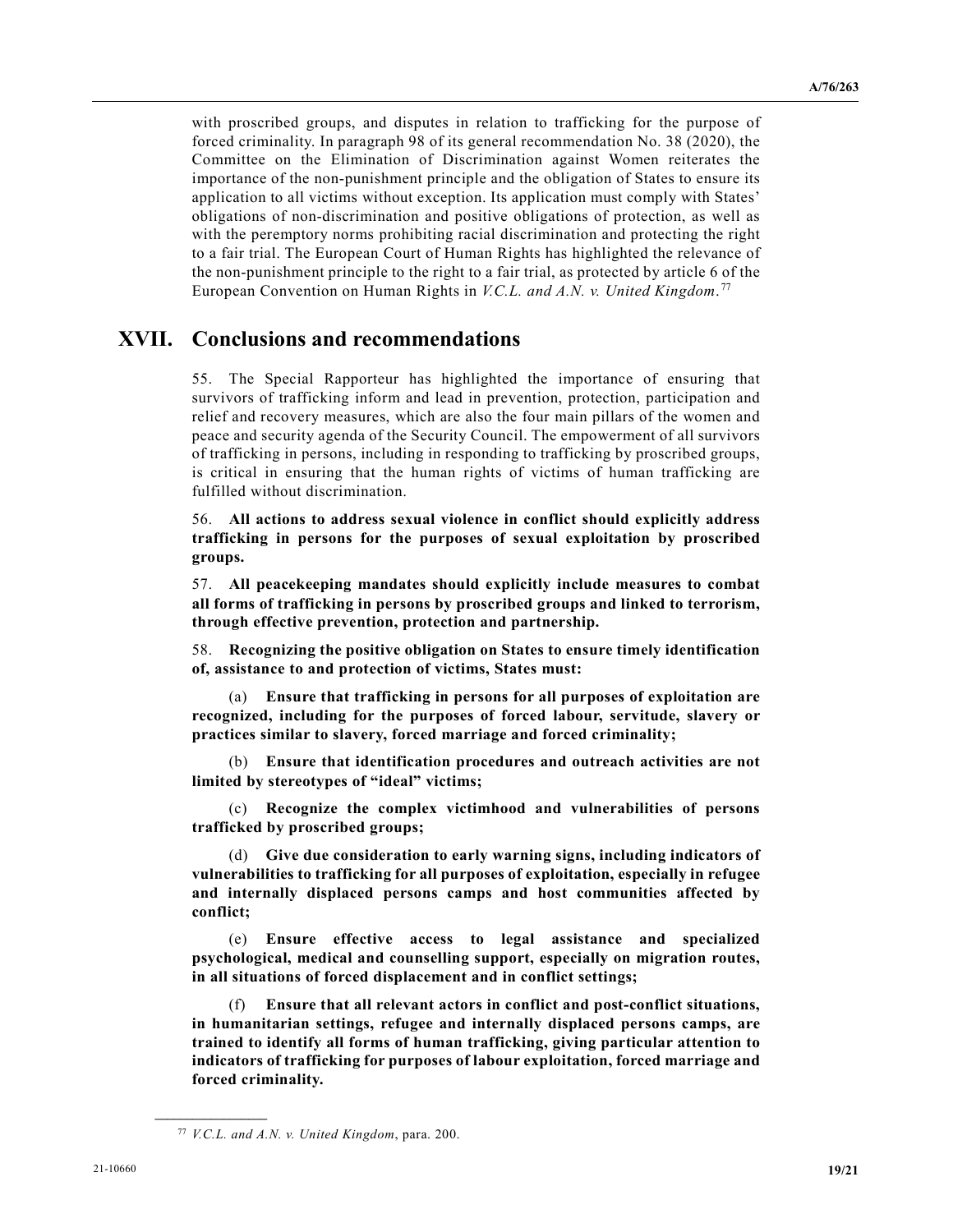with proscribed groups, and disputes in relation to trafficking for the purpose of forced criminality. In paragraph 98 of its general recommendation No. 38 (2020), the Committee on the Elimination of Discrimination against Women reiterates the importance of the non-punishment principle and the obligation of States to ensure its application to all victims without exception. Its application must comply with States' obligations of non-discrimination and positive obligations of protection, as well as with the peremptory norms prohibiting racial discrimination and protecting the right to a fair trial. The European Court of Human Rights has highlighted the relevance of the non-punishment principle to the right to a fair trial, as protected by article 6 of the European Convention on Human Rights in *V.C.L. and A.N. v. United Kingdom*. [77](#page-18-0)

#### **XVII. Conclusions and recommendations**

55. The Special Rapporteur has highlighted the importance of ensuring that survivors of trafficking inform and lead in prevention, protection, participation and relief and recovery measures, which are also the four main pillars of the women and peace and security agenda of the Security Council. The empowerment of all survivors of trafficking in persons, including in responding to trafficking by proscribed groups, is critical in ensuring that the human rights of victims of human trafficking are fulfilled without discrimination.

56. **All actions to address sexual violence in conflict should explicitly address trafficking in persons for the purposes of sexual exploitation by proscribed groups.**

57. **All peacekeeping mandates should explicitly include measures to combat all forms of trafficking in persons by proscribed groups and linked to terrorism, through effective prevention, protection and partnership.**

58. **Recognizing the positive obligation on States to ensure timely identification of, assistance to and protection of victims, States must:**

(a) **Ensure that trafficking in persons for all purposes of exploitation are recognized, including for the purposes of forced labour, servitude, slavery or practices similar to slavery, forced marriage and forced criminality;**

(b) **Ensure that identification procedures and outreach activities are not limited by stereotypes of "ideal" victims;** 

(c) **Recognize the complex victimhood and vulnerabilities of persons trafficked by proscribed groups;** 

(d) **Give due consideration to early warning signs, including indicators of vulnerabilities to trafficking for all purposes of exploitation, especially in refugee and internally displaced persons camps and host communities affected by conflict;**

(e) **Ensure effective access to legal assistance and specialized psychological, medical and counselling support, especially on migration routes, in all situations of forced displacement and in conflict settings;**

(f) **Ensure that all relevant actors in conflict and post-conflict situations, in humanitarian settings, refugee and internally displaced persons camps, are trained to identify all forms of human trafficking, giving particular attention to indicators of trafficking for purposes of labour exploitation, forced marriage and forced criminality.**

<span id="page-18-0"></span><sup>77</sup> *V.C.L. and A.N. v. United Kingdom*, para. 200.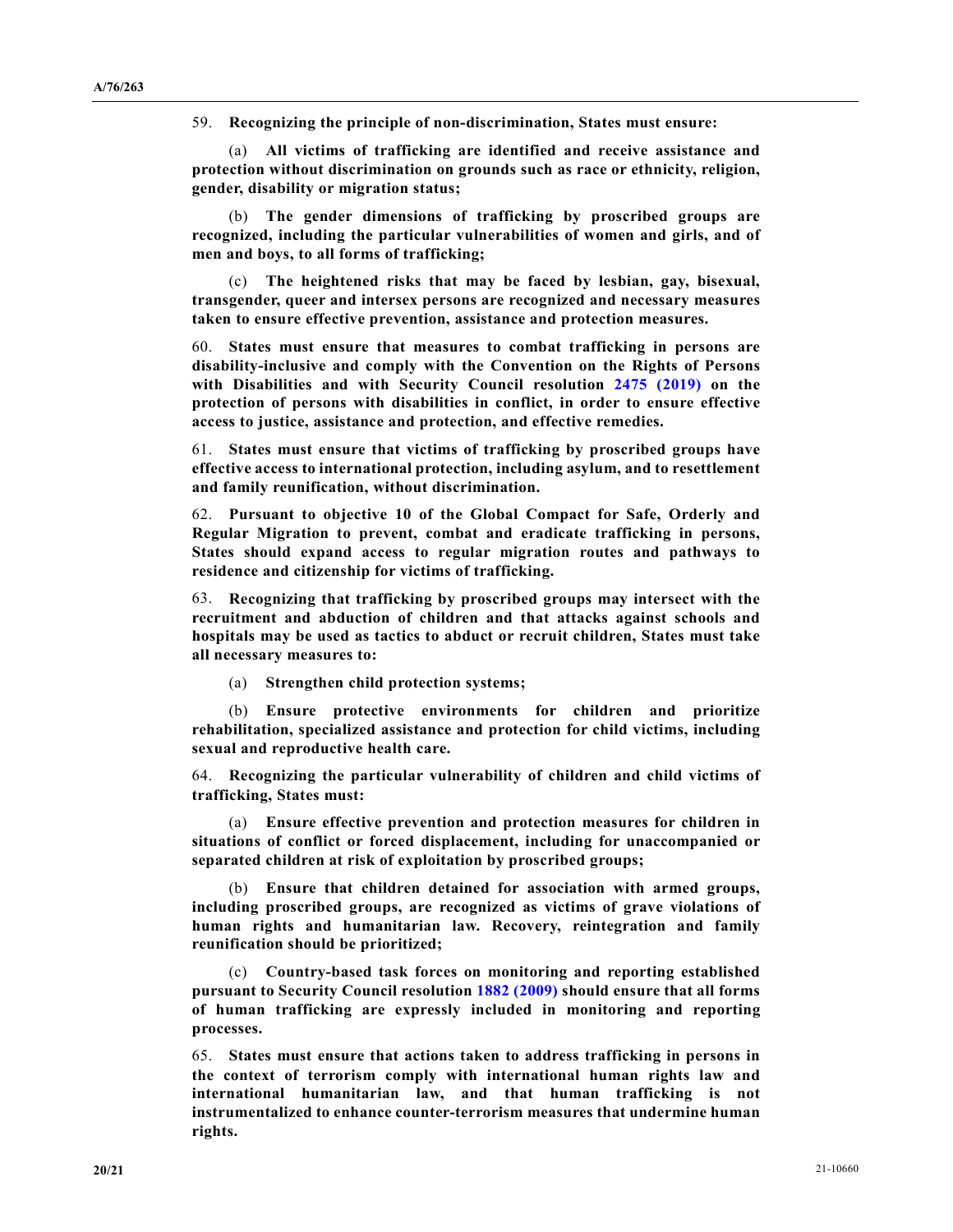59. **Recognizing the principle of non-discrimination, States must ensure:**

(a) **All victims of trafficking are identified and receive assistance and protection without discrimination on grounds such as race or ethnicity, religion, gender, disability or migration status;**

(b) **The gender dimensions of trafficking by proscribed groups are recognized, including the particular vulnerabilities of women and girls, and of men and boys, to all forms of trafficking;**

(c) **The heightened risks that may be faced by lesbian, gay, bisexual, transgender, queer and intersex persons are recognized and necessary measures taken to ensure effective prevention, assistance and protection measures.**

60. **States must ensure that measures to combat trafficking in persons are disability-inclusive and comply with the Convention on the Rights of Persons with Disabilities and with Security Council resolution [2475 \(2019\)](https://undocs.org/en/S/RES/2475(2019)) on the protection of persons with disabilities in conflict, in order to ensure effective access to justice, assistance and protection, and effective remedies.**

61. **States must ensure that victims of trafficking by proscribed groups have effective access to international protection, including asylum, and to resettlement and family reunification, without discrimination.**

62. **Pursuant to objective 10 of the Global Compact for Safe, Orderly and Regular Migration to prevent, combat and eradicate trafficking in persons, States should expand access to regular migration routes and pathways to residence and citizenship for victims of trafficking.**

63. **Recognizing that trafficking by proscribed groups may intersect with the recruitment and abduction of children and that attacks against schools and hospitals may be used as tactics to abduct or recruit children, States must take all necessary measures to:**

(a) **Strengthen child protection systems;**

(b) **Ensure protective environments for children and prioritize rehabilitation, specialized assistance and protection for child victims, including sexual and reproductive health care.**

64. **Recognizing the particular vulnerability of children and child victims of trafficking, States must:**

(a) **Ensure effective prevention and protection measures for children in situations of conflict or forced displacement, including for unaccompanied or separated children at risk of exploitation by proscribed groups;**

(b) **Ensure that children detained for association with armed groups, including proscribed groups, are recognized as victims of grave violations of human rights and humanitarian law. Recovery, reintegration and family reunification should be prioritized;**

(c) **Country-based task forces on monitoring and reporting established pursuant to Security Council resolution [1882 \(2009\)](https://undocs.org/en/S/RES/1882(2009)) should ensure that all forms of human trafficking are expressly included in monitoring and reporting processes.**

65. **States must ensure that actions taken to address trafficking in persons in the context of terrorism comply with international human rights law and international humanitarian law, and that human trafficking is not instrumentalized to enhance counter-terrorism measures that undermine human rights.**